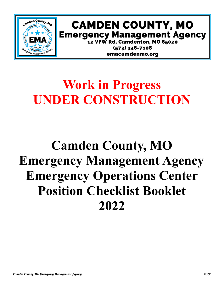

# **CAMDEN COUNTY, MO Emergency Management Agency 12 VFW Rd. Camdenton, MO 65020**

 $(573)$  346-7108 emacamdenmo.org

# **Work in Progress UNDER CONSTRUCTION**

# **Camden County, MO Emergency Management Agency Emergency Operations Center Position Checklist Booklet 2022**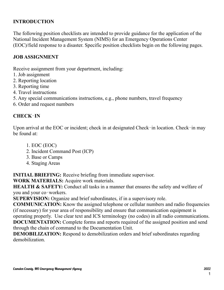### **INTRODUCTION**

The following position checklists are intended to provide guidance for the application of the National Incident Management System (NIMS) for an Emergency Operations Center (EOC)/field response to a disaster. Specific position checklists begin on the following pages.

### **JOB ASSIGNMENT**

Receive assignment from your department, including:

- 1. Job assignment
- 2. Reporting location
- 3. Reporting time
- 4. Travel instructions
- 5. Any special communications instructions, e.g., phone numbers, travel frequency
- 6. Order and request numbers

### **CHECK**‐**IN**

Upon arrival at the EOC or incident; check in at designated Check-in location. Check-in may be found at:

- 1. EOC (EOC)
- 2. Incident Command Post (ICP)
- 3. Base or Camps
- 4. Staging Areas

**INITIAL BRIEFING:** Receive briefing from immediate supervisor.

**WORK MATERIALS:** Acquire work materials.

**HEALTH & SAFETY:** Conduct all tasks in a manner that ensures the safety and welfare of you and your co-workers.

**SUPERVISION:** Organize and brief subordinates, if in a supervisory role.

**COMMUNICATION:** Know the assigned telephone or cellular numbers and radio frequencies (if necessary) for your area of responsibility and ensure that communication equipment is operating properly. Use clear text and ICS terminology (no codes) in all radio communications. **DOCUMENTATION:** Complete forms and reports required of the assigned position and send through the chain of command to the Documentation Unit.

**DEMOBILIZATION:** Respond to demobilization orders and brief subordinates regarding demobilization.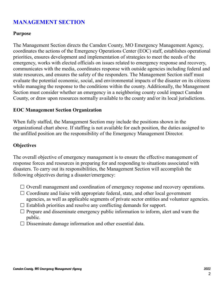### **MANAGEMENT SECTION**

### **Purpose**

The Management Section directs the Camden County, MO Emergency Management Agency, coordinates the actions of the Emergency Operations Center (EOC) staff, establishes operational priorities, ensures development and implementation of strategies to meet the needs of the emergency, works with elected officials on issues related to emergency response and recovery, communicates with the media, coordinates response with outside agencies including federal and state resources, and ensures the safety of the responders. The Management Section staff must evaluate the potential economic, social, and environmental impacts of the disaster on its citizens while managing the response to the conditions within the county. Additionally, the Management Section must consider whether an emergency in a neighboring county could impact Camden County, or draw upon resources normally available to the county and/or its local jurisdictions.

### **EOC Management Section Organization**

When fully staffed, the Management Section may include the positions shown in the organizational chart above. If staffing is not available for each position, the duties assigned to the unfilled position are the responsibility of the Emergency Management Director.

### **Objectives**

The overall objective of emergency management is to ensure the effective management of response forces and resources in preparing for and responding to situations associated with disasters. To carry out its responsibilities, the Management Section will accomplish the following objectives during a disaster/emergency:

- $\Box$  Overall management and coordination of emergency response and recovery operations.
- $\Box$  Coordinate and liaise with appropriate federal, state, and other local government agencies, as well as applicable segments of private sector entities and volunteer agencies.
- $\Box$  Establish priorities and resolve any conflicting demands for support.
- $\Box$  Prepare and disseminate emergency public information to inform, alert and warn the public.
- $\Box$  Disseminate damage information and other essential data.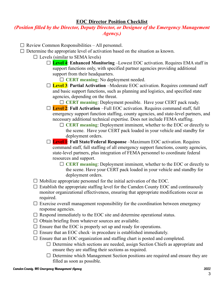#### **EOC Director Position Checklist**

### *(Position filled by the Director, Deputy Director, or Designee of the Emergency Management Agency.)*

- $\Box$  Review Common Responsibilities All personnel.
- $\Box$  Determine the appropriate level of activation based on the situation as known.
	- $\Box$  Levels (similar to SEMA levels)
		- **Level 4**: **Enhanced Monitoring** –Lowest EOC activation. Requires EMA staff in support functions only, with specified partner agencies providing additional support from their headquarters.
			- **CERT meaning**: No deployment needed.
		- **Level 3**: **Partial Activation** –Moderate EOC activation. Requires command staff and basic support functions, such as planning and logistics, and specified state agencies, depending on the threat.
			- **CERT meaning**: Deployment possible. Have your CERT pack ready.
		- **Level 2**: **Full Activation** –Full EOC activation. Requires command staff, full emergency support function staffing, county agencies, and state-level partners, and necessary additional technical expertise. Does not include FEMA staffing.
			- **CERT meaning**: Deployment imminent, whether to the EOC or directly to the scene. Have your CERT pack loaded in your vehicle and standby for deployment orders.
		- **Level 1**: **Full State/Federal Response** –Maximum EOC activation. Requires command staff, full staffing of all emergency support functions, county agencies, state-level partners, plus integration of FEMA personnel to coordinate federal resources and support.
			- **CERT meaning**: Deployment imminent, whether to the EOC or directly to the scene. Have your CERT pack loaded in your vehicle and standby for deployment orders.
	- $\Box$  Mobilize appropriate personnel for the initial activation of the EOC.
	- $\Box$  Establish the appropriate staffing level for the Camden County EOC and continuously monitor organizational effectiveness, ensuring that appropriate modifications occur as required.
	- $\Box$  Exercise overall management responsibility for the coordination between emergency response agencies.
	- $\Box$  Respond immediately to the EOC site and determine operational status.
	- $\Box$  Obtain briefing from whatever sources are available.
	- $\Box$  Ensure that the EOC is properly set up and ready for operations.
	- $\Box$  Ensure that an EOC check-in procedure is established immediately.
	- $\square$  Ensure that an EOC organization and staffing chart is posted and completed.
		- $\Box$  Determine which sections are needed, assign Section Chiefs as appropriate and ensure they are staffing their sections as required.
		- $\Box$  Determine which Management Section positions are required and ensure they are filled as soon as possible.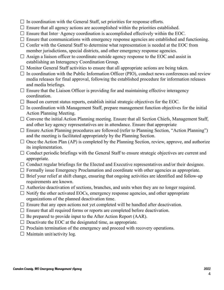- $\Box$  In coordination with the General Staff, set priorities for response efforts.
- $\Box$  Ensure that all agency actions are accomplished within the priorities established.
- $\Box$  Ensure that Inter-Agency coordination is accomplished effectively within the EOC.
- $\Box$  Ensure that communications with emergency response agencies are established and functioning.
- $\Box$  Confer with the General Staff to determine what representation is needed at the EOC from member jurisdictions, special districts, and other emergency response agencies.
- $\Box$  Assign a liaison officer to coordinate outside agency response to the EOC and assist in establishing an Interagency Coordination Group.
- $\Box$  Monitor General Staff activities to ensure that all appropriate actions are being taken.
- $\Box$  In coordination with the Public Information Officer (PIO), conduct news conferences and review media releases for final approval, following the established procedure for information releases and media briefings.
- $\Box$  Ensure that the Liaison Officer is providing for and maintaining effective interagency coordination.
- $\Box$  Based on current status reports, establish initial strategic objectives for the EOC.
- $\Box$  In coordination with Management Staff, prepare management function objectives for the initial Action Planning Meeting.
- $\Box$  Convene the initial Action Planning meeting. Ensure that all Section Chiefs, Management Staff, and other key agency representatives are in attendance. Ensure that appropriate
- $\Box$  Ensure Action Planning procedures are followed (refer to Planning Section, "Action Planning") and the meeting is facilitated appropriately by the Planning Section.
- $\Box$  Once the Action Plan (AP) is completed by the Planning Section, review, approve, and authorize its implementation.
- $\Box$  Conduct periodic briefings with the General Staff to ensure strategic objectives are current and appropriate.
- $\Box$  Conduct regular briefings for the Elected and Executive representatives and/or their designee.
- $\Box$  Formally issue Emergency Proclamation and coordinate with other agencies as appropriate.
- $\Box$  Brief your relief at shift change, ensuring that ongoing activities are identified and follow-up requirements are known.
- $\Box$  Authorize deactivation of sections, branches, and units when they are no longer required.
- $\Box$  Notify the other activated EOCs, emergency response agencies, and other appropriate organizations of the planned deactivation time.
- $\Box$  Ensure that any open actions not yet completed will be handled after deactivation.
- $\Box$  Ensure that all required forms or reports are completed before deactivation.
- $\Box$  Be prepared to provide input to the After Action Report (AAR).
- $\Box$  Deactivate the EOC at the designated time, as appropriate.
- $\Box$  Proclaim termination of the emergency and proceed with recovery operations.
- $\Box$  Maintain unit/activity log.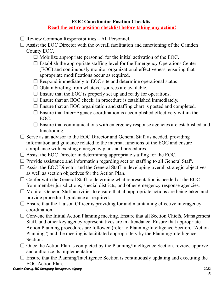### **EOC Coordinator Position Checklist Read the entire position checklist before taking any action!**

- $\Box$  Review Common Responsibilities All Personnel.
- $\Box$  Assist the EOC Director with the overall facilitation and functioning of the Camden County EOC.
	- $\Box$  Mobilize appropriate personnel for the initial activation of the EOC.
	- $\Box$  Establish the appropriate staffing level for the Emergency Operations Center (EOC) and continuously monitor organizational effectiveness, ensuring that appropriate modifications occur as required.
	- $\Box$  Respond immediately to EOC site and determine operational status
	- $\Box$  Obtain briefing from whatever sources are available.
	- $\Box$  Ensure that the EOC is properly set up and ready for operations.
	- $\Box$  Ensure that an EOC check–in procedure is established immediately.
	- $\Box$  Ensure that an EOC organization and staffing chart is posted and completed.
	- $\Box$  Ensure that Inter-Agency coordination is accomplished effectively within the EOC.
	- $\square$  Ensure that communications with emergency response agencies are established and functioning.
- $\square$  Serve as an advisor to the EOC Director and General Staff as needed, providing information and guidance related to the internal functions of the EOC and ensure compliance with existing emergency plans and procedures.
- $\Box$  Assist the EOC Director in determining appropriate staffing for the EOC.
- $\Box$  Provide assistance and information regarding section staffing to all General Staff.
- $\Box$  Assist the EOC Director and the General Staff in developing overall strategic objectives as well as section objectives for the Action Plan.
- $\Box$  Confer with the General Staff to determine what representation is needed at the EOC from member jurisdictions, special districts, and other emergency response agencies.
- $\Box$  Monitor General Staff activities to ensure that all appropriate actions are being taken and provide procedural guidance as required.
- $\Box$  Ensure that the Liaison Officer is providing for and maintaining effective interagency coordination.
- $\Box$  Convene the Initial Action Planning meeting. Ensure that all Section Chiefs, Management Staff, and other key agency representatives are in attendance. Ensure that appropriate Action Planning procedures are followed (refer to Planning/Intelligence Section, "Action Planning") and the meeting is facilitated appropriately by the Planning/Intelligence Section.
- $\Box$  Once the Action Plan is completed by the Planning/Intelligence Section, review, approve and authorize its implementation.
- $\Box$  Ensure that the Planning/Intelligence Section is continuously updating and executing the EOC Action Plan.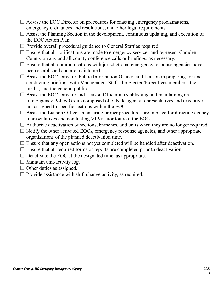- $\Box$  Advise the EOC Director on procedures for enacting emergency proclamations, emergency ordinances and resolutions, and other legal requirements.
- $\Box$  Assist the Planning Section in the development, continuous updating, and execution of the EOC Action Plan.
- $\Box$  Provide overall procedural guidance to General Staff as required.
- $\Box$  Ensure that all notifications are made to emergency services and represent Camden County on any and all county conference calls or briefings, as necessary.
- $\Box$  Ensure that all communications with jurisdictional emergency response agencies have been established and are maintained.
- $\Box$  Assist the EOC Director, Public Information Officer, and Liaison in preparing for and conducting briefings with Management Staff, the Elected/Executives members, the media, and the general public.
- $\Box$  Assist the EOC Director and Liaison Officer in establishing and maintaining an Inter‐agency Policy Group composed of outside agency representatives and executives not assigned to specific sections within the EOC.
- $\Box$  Assist the Liaison Officer in ensuring proper procedures are in place for directing agency representatives and conducting VIP/visitor tours of the EOC.
- $\Box$  Authorize deactivation of sections, branches, and units when they are no longer required.
- $\Box$  Notify the other activated EOCs, emergency response agencies, and other appropriate organizations of the planned deactivation time.
- $\Box$  Ensure that any open actions not yet completed will be handled after deactivation.
- $\Box$  Ensure that all required forms or reports are completed prior to deactivation.
- $\Box$  Deactivate the EOC at the designated time, as appropriate.
- $\Box$  Maintain unit/activity log.
- $\Box$  Other duties as assigned.
- $\Box$  Provide assistance with shift change activity, as required.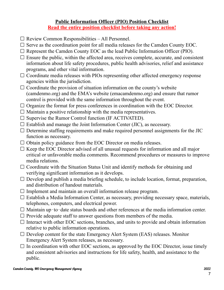### **Public Information Officer (PIO) Position Checklist Read the entire position checklist before taking any action!**

- $\Box$  Review Common Responsibilities All Personnel.
- $\square$  Serve as the coordination point for all media releases for the Camden County EOC.
- $\Box$  Represent the Camden County EOC as the lead Public Information Officer (PIO).
- $\Box$  Ensure the public, within the affected area, receives complete, accurate, and consistent information about life safety procedures, public health advisories, relief and assistance programs, and other vital information.
- $\Box$  Coordinate media releases with PIOs representing other affected emergency response agencies within the jurisdiction.
- $\Box$  Coordinate the provision of situation information on the county's website (camdenmo.org) and the EMA's website (emacamdenmo.org) and ensure that rumor control is provided with the same information throughout the event.
- $\Box$  Organize the format for press conferences in coordination with the EOC Director.
- $\Box$  Maintain a positive relationship with the media representatives.
- $\square$  Supervise the Rumor Control function (IF ACTIVATED).
- $\square$  Establish and manage the Joint Information Center (JIC), as necessary.
- $\Box$  Determine staffing requirements and make required personnel assignments for the JIC function as necessary.
- $\Box$  Obtain policy guidance from the EOC Director on media releases.
- $\Box$  Keep the EOC Director advised of all unusual requests for information and all major critical or unfavorable media comments. Recommend procedures or measures to improve media relations.
- $\Box$  Coordinate with the Situation Status Unit and identify methods for obtaining and verifying significant information as it develops.
- $\Box$  Develop and publish a media briefing schedule, to include location, format, preparation, and distribution of handout materials.
- $\Box$  Implement and maintain an overall information release program.
- $\Box$  Establish a Media Information Center, as necessary, providing necessary space, materials, telephones, computers, and electrical power.
- $\Box$  Maintain up-to-date status boards and other references at the media information center.
- $\Box$  Provide adequate staff to answer questions from members of the media.
- $\Box$  Interact with other EOC sections, branches, and units to provide and obtain information relative to public information operations.
- $\Box$  Develop content for the state Emergency Alert System (EAS) releases. Monitor Emergency Alert System releases, as necessary.
- $\Box$  In coordination with other EOC sections, as approved by the EOC Director, issue timely and consistent advisories and instructions for life safety, health, and assistance to the public.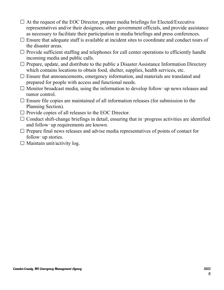- $\Box$  At the request of the EOC Director, prepare media briefings for Elected/Executive representatives and/or their designees, other government officials, and provide assistance as necessary to facilitate their participation in media briefings and press conferences.
- $\Box$  Ensure that adequate staff is available at incident sites to coordinate and conduct tours of the disaster areas.
- $\Box$  Provide sufficient staffing and telephones for call center operations to efficiently handle incoming media and public calls.
- $\Box$  Prepare, update, and distribute to the public a Disaster Assistance Information Directory which contains locations to obtain food, shelter, supplies, health services, etc.
- $\Box$  Ensure that announcements, emergency information, and materials are translated and prepared for people with access and functional needs.
- $\Box$  Monitor broadcast media, using the information to develop follow-up news releases and rumor control.
- $\Box$  Ensure file copies are maintained of all information releases (for submission to the Planning Section).
- $\Box$  Provide copies of all releases to the EOC Director.
- $\Box$  Conduct shift-change briefings in detail, ensuring that in-progress activities are identified and follow‐up requirements are known.
- $\Box$  Prepare final news releases and advise media representatives of points of contact for follow-up stories.
- $\Box$  Maintain unit/activity log.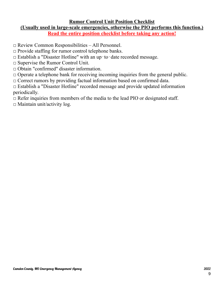### **Rumor Control Unit Position Checklist (Usually used in large-scale emergencies, otherwise the PIO performs this function.) Read the entire position checklist before taking any action!**

- $\Box$  Review Common Responsibilities All Personnel.
- $\Box$  Provide staffing for rumor control telephone banks.
- □ Establish a "Disaster Hotline" with an up‐to‐date recorded message.
- $\Box$  Supervise the Rumor Control Unit.
- □ Obtain "confirmed" disaster information.
- $\Box$  Operate a telephone bank for receiving incoming inquiries from the general public.
- $\Box$  Correct rumors by providing factual information based on confirmed data.
- $\Box$  Establish a "Disaster Hotline" recorded message and provide updated information periodically.
- $\Box$  Refer inquiries from members of the media to the lead PIO or designated staff.
- $\Box$  Maintain unit/activity log.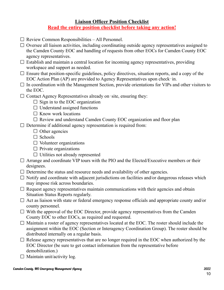### **Liaison Officer Position Checklist Read the entire position checklist before taking any action!**

- $\Box$  Review Common Responsibilities All Personnel.
- $\Box$  Oversee all liaison activities, including coordinating outside agency representatives assigned to the Camden County EOC and handling of requests from other EOCs for Camden County EOC agency representatives.
- $\square$  Establish and maintain a central location for incoming agency representatives, providing workspace and support as needed.
- $\Box$  Ensure that position-specific guidelines, policy directives, situation reports, and a copy of the EOC Action Plan (AP) are provided to Agency Representatives upon check‐in.
- $\Box$  In coordination with the Management Section, provide orientations for VIPs and other visitors to the EOC.
- $\Box$  Contact Agency Representatives already on-site, ensuring they:
	- $\Box$  Sign in to the EOC organization
	- $\Box$  Understand assigned functions
	- $\Box$  Know work locations
	- $\Box$  Review and understand Camden County EOC organization and floor plan
- $\Box$  Determine if additional agency representation is required from:
	- $\Box$  Other agencies
	- $\Box$  Schools
	- $\Box$  Volunteer organizations
	- $\Box$  Private organizations
	- $\Box$  Utilities not already represented
- $\Box$  Arrange and coordinate VIP tours with the PIO and the Elected/Executive members or their designees.
- $\Box$  Determine the status and resource needs and availability of other agencies.
- $\Box$  Notify and coordinate with adjacent jurisdictions on facilities and/or dangerous releases which may impose risk across boundaries.
- $\Box$  Request agency representatives maintain communications with their agencies and obtain Situation Status Reports regularly.
- $\Box$  Act as liaison with state or federal emergency response officials and appropriate county and/or county personnel.
- $\Box$  With the approval of the EOC Director, provide agency representatives from the Camden County EOC to other EOCs, as required and requested.
- $\Box$  Maintain a roster of agency representatives located at the EOC. The roster should include the assignment within the EOC (Section or Interagency Coordination Group). The roster should be distributed internally on a regular basis.
- $\Box$  Release agency representatives that are no longer required in the EOC when authorized by the EOC Director (be sure to get contact information from the representative before demobilization.)
- $\Box$  Maintain unit/activity log.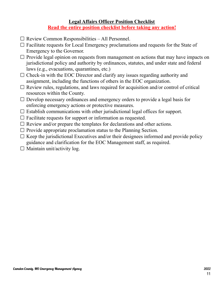### **Legal Affairs Officer Position Checklist Read the entire position checklist before taking any action!**

- $\Box$  Review Common Responsibilities All Personnel.
- $\Box$  Facilitate requests for Local Emergency proclamations and requests for the State of Emergency to the Governor.
- $\Box$  Provide legal opinion on requests from management on actions that may have impacts on jurisdictional policy and authority by ordinances, statutes, and under state and federal laws (e.g., evacuations, quarantines, etc.)
- $\Box$  Check-in with the EOC Director and clarify any issues regarding authority and assignment, including the functions of others in the EOC organization.
- $\Box$  Review rules, regulations, and laws required for acquisition and/or control of critical resources within the County.
- $\Box$  Develop necessary ordinances and emergency orders to provide a legal basis for enforcing emergency actions or protective measures.
- $\Box$  Establish communications with other jurisdictional legal offices for support.
- $\Box$  Facilitate requests for support or information as requested.
- $\Box$  Review and/or prepare the templates for declarations and other actions.
- $\Box$  Provide appropriate proclamation status to the Planning Section.
- $\Box$  Keep the jurisdictional Executives and/or their designees informed and provide policy guidance and clarification for the EOC Management staff, as required.
- $\Box$  Maintain unit/activity log.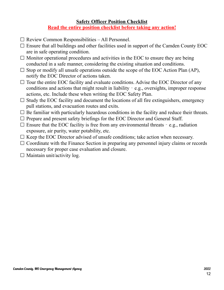### **Safety Officer Position Checklist Read the entire position checklist before taking any action!**

- $\Box$  Review Common Responsibilities All Personnel.
- $\Box$  Ensure that all buildings and other facilities used in support of the Camden County EOC are in safe operating condition.
- $\Box$  Monitor operational procedures and activities in the EOC to ensure they are being conducted in a safe manner, considering the existing situation and conditions.
- $\square$  Stop or modify all unsafe operations outside the scope of the EOC Action Plan (AP), notify the EOC Director of actions taken.
- $\Box$  Tour the entire EOC facility and evaluate conditions. Advise the EOC Director of any conditions and actions that might result in liability – e.g., oversights, improper response actions, etc. Include these when writing the EOC Safety Plan.
- $\Box$  Study the EOC facility and document the locations of all fire extinguishers, emergency pull stations, and evacuation routes and exits.
- $\Box$  Be familiar with particularly hazardous conditions in the facility and reduce their threats.
- $\Box$  Prepare and present safety briefings for the EOC Director and General Staff.
- $\Box$  Ensure that the EOC facility is free from any environmental threats  $\Box$  e.g., radiation exposure, air purity, water potability, etc.
- $\Box$  Keep the EOC Director advised of unsafe conditions; take action when necessary.
- $\Box$  Coordinate with the Finance Section in preparing any personnel injury claims or records necessary for proper case evaluation and closure.
- $\Box$  Maintain unit/activity log.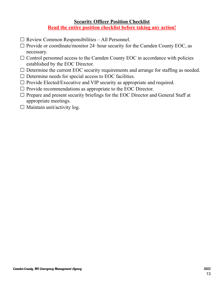### **Security Officer Position Checklist Read the entire position checklist before taking any action!**

- $\square$  Review Common Responsibilities All Personnel.
- $\Box$  Provide or coordinate/monitor 24-hour security for the Camden County EOC, as necessary.
- $\Box$  Control personnel access to the Camden County EOC in accordance with policies established by the EOC Director.
- $\Box$  Determine the current EOC security requirements and arrange for staffing as needed.
- $\Box$  Determine needs for special access to EOC facilities.
- $\Box$  Provide Elected/Executive and VIP security as appropriate and required.
- $\Box$  Provide recommendations as appropriate to the EOC Director.
- $\Box$  Prepare and present security briefings for the EOC Director and General Staff at appropriate meetings.
- $\Box$  Maintain unit/activity log.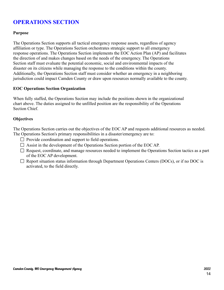## **OPERATIONS SECTION**

#### **Purpose**

The Operations Section supports all tactical emergency response assets, regardless of agency affiliation or type. The Operations Section orchestrates strategic support to all emergency response operations. The Operations Section implements the EOC Action Plan (AP) and facilitates the direction of and makes changes based on the needs of the emergency. The Operations Section staff must evaluate the potential economic, social and environmental impacts of the disaster on its citizens while managing the response to the conditions within the county. Additionally, the Operations Section staff must consider whether an emergency in a neighboring jurisdiction could impact Camden County or draw upon resources normally available to the county.

#### **EOC Operations Section Organization**

When fully staffed, the Operations Section may include the positions shown in the organizational chart above. The duties assigned to the unfilled position are the responsibility of the Operations Section Chief.

#### **Objectives**

The Operations Section carries out the objectives of the EOC AP and requests additional resources as needed. The Operations Section's primary responsibilities in a disaster/emergency are to:

- $\Box$  Provide coordination and support to field operations.
- $\Box$  Assist in the development of the Operations Section portion of the EOC AP.
- $\Box$  Request, coordinate, and manage resources needed to implement the Operations Section tactics as a part of the EOC AP development.
- $\Box$  Report situation status information through Department Operations Centers (DOCs), or if no DOC is activated, to the field directly.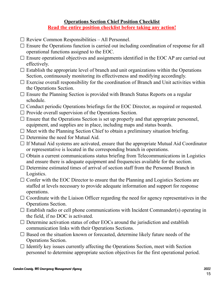### **Operations Section Chief Position Checklist Read the entire position checklist before taking any action!**

- $\Box$  Review Common Responsibilities All Personnel.
- $\Box$  Ensure the Operations function is carried out including coordination of response for all operational functions assigned to the EOC.
- $\Box$  Ensure operational objectives and assignments identified in the EOC AP are carried out effectively.
- $\Box$  Establish the appropriate level of branch and unit organizations within the Operations Section, continuously monitoring its effectiveness and modifying accordingly.
- $\square$  Exercise overall responsibility for the coordination of Branch and Unit activities within the Operations Section.
- $\Box$  Ensure the Planning Section is provided with Branch Status Reports on a regular schedule.
- $\Box$  Conduct periodic Operations briefings for the EOC Director, as required or requested.
- $\Box$  Provide overall supervision of the Operations Section.
- $\Box$  Ensure that the Operations Section is set up properly and that appropriate personnel, equipment, and supplies are in place, including maps and status boards.
- $\Box$  Meet with the Planning Section Chief to obtain a preliminary situation briefing.
- $\Box$  Determine the need for Mutual Aid.
- $\Box$  If Mutual Aid systems are activated, ensure that the appropriate Mutual Aid Coordinator or representative is located in the corresponding branch in operations.
- $\Box$  Obtain a current communications status briefing from Telecommunications in Logistics and ensure there is adequate equipment and frequencies available for the section.
- $\Box$  Determine estimated times of arrival of section staff from the Personnel Branch in Logistics.
- $\Box$  Confer with the EOC Director to ensure that the Planning and Logistics Sections are staffed at levels necessary to provide adequate information and support for response operations.
- $\Box$  Coordinate with the Liaison Officer regarding the need for agency representatives in the Operations Section.
- $\Box$  Establish radio or cell phone communications with Incident Commander(s) operating in the field, if no DOC is activated.
- $\Box$  Determine activation status of other EOCs around the jurisdiction and establish communication links with their Operations Sections.
- $\Box$  Based on the situation known or forecasted, determine likely future needs of the Operations Section.
- $\Box$  Identify key issues currently affecting the Operations Section, meet with Section personnel to determine appropriate section objectives for the first operational period.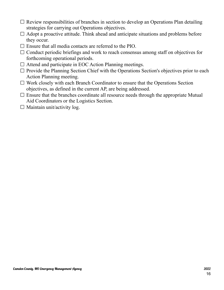- $\Box$  Review responsibilities of branches in section to develop an Operations Plan detailing strategies for carrying out Operations objectives.
- $\Box$  Adopt a proactive attitude. Think ahead and anticipate situations and problems before they occur.
- $\Box$  Ensure that all media contacts are referred to the PIO.
- $\Box$  Conduct periodic briefings and work to reach consensus among staff on objectives for forthcoming operational periods.
- $\Box$  Attend and participate in EOC Action Planning meetings.
- $\Box$  Provide the Planning Section Chief with the Operations Section's objectives prior to each Action Planning meeting.
- $\Box$  Work closely with each Branch Coordinator to ensure that the Operations Section objectives, as defined in the current AP, are being addressed.
- $\Box$  Ensure that the branches coordinate all resource needs through the appropriate Mutual Aid Coordinators or the Logistics Section.
- $\Box$  Maintain unit/activity log.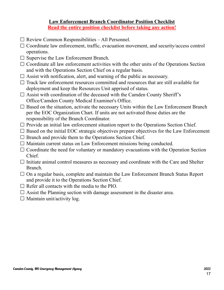### **Law Enforcement Branch Coordinator Position Checklist Read the entire position checklist before taking any action!**

- $\Box$  Review Common Responsibilities All Personnel.
- $\Box$  Coordinate law enforcement, traffic, evacuation movement, and security/access control operations.
- $\square$  Supervise the Law Enforcement Branch.
- $\Box$  Coordinate all law enforcement activities with the other units of the Operations Section and with the Operations Section Chief on a regular basis.
- $\Box$  Assist with notification, alert, and warning of the public as necessary.
- $\Box$  Track law enforcement resources committed and resources that are still available for deployment and keep the Resources Unit apprised of status.
- $\Box$  Assist with coordination of the deceased with the Camden County Sheriff's Office/Camden County Medical Examiner's Office.
- $\Box$  Based on the situation, activate the necessary Units within the Law Enforcement Branch per the EOC Organization Chart. If units are not activated those duties are the responsibility of the Branch Coordinator.
- $\Box$  Provide an initial law enforcement situation report to the Operations Section Chief.
- $\Box$  Based on the initial EOC strategic objectives prepare objectives for the Law Enforcement
- $\Box$  Branch and provide them to the Operations Section Chief.
- $\Box$  Maintain current status on Law Enforcement missions being conducted.
- $\Box$  Coordinate the need for voluntary or mandatory evacuations with the Operation Section Chief.
- $\Box$  Initiate animal control measures as necessary and coordinate with the Care and Shelter Branch.
- $\Box$  On a regular basis, complete and maintain the Law Enforcement Branch Status Report and provide it to the Operations Section Chief.
- $\Box$  Refer all contacts with the media to the PIO.
- $\Box$  Assist the Planning section with damage assessment in the disaster area.
- $\Box$  Maintain unit/activity log.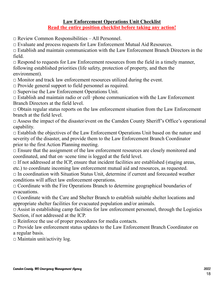### **Law Enforcement Operations Unit Checklist Read the entire position checklist before taking any action!**

 $\Box$  Review Common Responsibilities – All Personnel.

□ Evaluate and process requests for Law Enforcement Mutual Aid Resources.

 $\Box$  Establish and maintain communication with the Law Enforcement Branch Directors in the field.

 $\Box$  Respond to requests for Law Enforcement resources from the field in a timely manner, following established priorities (life safety, protection of property, and then the environment).

 $\Box$  Monitor and track law enforcement resources utilized during the event.

 $\Box$  Provide general support to field personnel as required.

□ Supervise the Law Enforcement Operations Unit.

□ Establish and maintain radio or cell‐phone communication with the Law Enforcement Branch Directors at the field level.

 $\Box$  Obtain regular status reports on the law enforcement situation from the Law Enforcement branch at the field level.

 $\Box$  Assess the impact of the disaster/event on the Camden County Sheriff's Office's operational capability.

 $\Box$  Establish the objectives of the Law Enforcement Operations Unit based on the nature and severity of the disaster, and provide them to the Law Enforcement Branch Coordinator prior to the first Action Planning meeting.

 $\Box$  Ensure that the assignment of the law enforcement resources are closely monitored and coordinated, and that on‐scene time is logged at the field level.

 $\Box$  If not addressed at the ICP, ensure that incident facilities are established (staging areas, etc.) to coordinate incoming law enforcement mutual aid and resources, as requested.

 $\Box$  In coordination with Situation Status Unit, determine if current and forecasted weather conditions will affect law enforcement operations.

 $\Box$  Coordinate with the Fire Operations Branch to determine geographical boundaries of evacuations.

 $\Box$  Coordinate with the Care and Shelter Branch to establish suitable shelter locations and appropriate shelter facilities for evacuated population and/or animals.

 $\Box$  Assist in establishing camp facilities for law enforcement personnel, through the Logistics Section, if not addressed at the ICP.

 $\Box$  Reinforce the use of proper procedures for media contacts.

□ Provide law enforcement status updates to the Law Enforcement Branch Coordinator on a regular basis.

 $\square$  Maintain unit/activity log.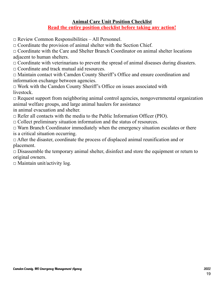### **Animal Care Unit Position Checklist Read the entire position checklist before taking any action!**

 $\Box$  Review Common Responsibilities – All Personnel.

 $\Box$  Coordinate the provision of animal shelter with the Section Chief.

□ Coordinate with the Care and Shelter Branch Coordinator on animal shelter locations adjacent to human shelters.

 $\Box$  Coordinate with veterinarians to prevent the spread of animal diseases during disasters.

□ Coordinate and track mutual aid resources.

□ Maintain contact with Camden County Sheriff's Office and ensure coordination and information exchange between agencies.

 $\Box$  Work with the Camden County Sheriff's Office on issues associated with livestock.

□ Request support from neighboring animal control agencies, nongovernmental organization animal welfare groups, and large animal haulers for assistance

in animal evacuation and shelter.

 $\Box$  Refer all contacts with the media to the Public Information Officer (PIO).

 $\Box$  Collect preliminary situation information and the status of resources.

□ Warn Branch Coordinator immediately when the emergency situation escalates or there is a critical situation occurring.

□ After the disaster, coordinate the process of displaced animal reunification and or placement.

 $\Box$  Disassemble the temporary animal shelter, disinfect and store the equipment or return to original owners.

 $\Box$  Maintain unit/activity log.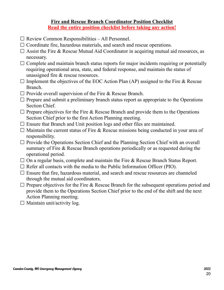### **Fire and Rescue Branch Coordinator Position Checklist Read the entire position checklist before taking any action!**

- $\Box$  Review Common Responsibilities All Personnel.
- $\Box$  Coordinate fire, hazardous materials, and search and rescue operations.
- $\Box$  Assist the Fire & Rescue Mutual Aid Coordinator in acquiring mutual aid resources, as necessary.
- $\Box$  Complete and maintain branch status reports for major incidents requiring or potentially requiring operational area, state, and federal response, and maintain the status of unassigned fire & rescue resources.
- $\Box$  Implement the objectives of the EOC Action Plan (AP) assigned to the Fire & Rescue Branch.
- $\Box$  Provide overall supervision of the Fire & Rescue Branch.
- $\Box$  Prepare and submit a preliminary branch status report as appropriate to the Operations Section Chief.
- $\Box$  Prepare objectives for the Fire & Rescue Branch and provide them to the Operations Section Chief prior to the first Action Planning meeting.
- $\Box$  Ensure that Branch and Unit position logs and other files are maintained.
- $\Box$  Maintain the current status of Fire & Rescue missions being conducted in your area of responsibility.
- $\Box$  Provide the Operations Section Chief and the Planning Section Chief with an overall summary of Fire & Rescue Branch operations periodically or as requested during the operational period.
- $\Box$  On a regular basis, complete and maintain the Fire & Rescue Branch Status Report.
- $\Box$  Refer all contacts with the media to the Public Information Officer (PIO).
- $\Box$  Ensure that fire, hazardous material, and search and rescue resources are channeled through the mutual aid coordinators.
- $\Box$  Prepare objectives for the Fire & Rescue Branch for the subsequent operations period and provide them to the Operations Section Chief prior to the end of the shift and the next Action Planning meeting.
- $\Box$  Maintain unit/activity log.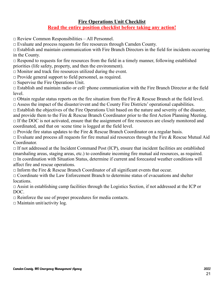### **Fire Operations Unit Checklist Read the entire position checklist before taking any action!**

 $\Box$  Review Common Responsibilities – All Personnel.

 $\Box$  Evaluate and process requests for fire resources through Camden County.

 $\Box$  Establish and maintain communication with Fire Branch Directors in the field for incidents occurring in the County.

 $\Box$  Respond to requests for fire resources from the field in a timely manner, following established priorities (life safety, property, and then the environment).

 $\Box$  Monitor and track fire resources utilized during the event.

 $\Box$  Provide general support to field personnel, as required.

 $\square$  Supervise the Fire Operations Unit.

□ Establish and maintain radio or cell‐phone communication with the Fire Branch Director at the field level.

 $\Box$  Obtain regular status reports on the fire situation from the Fire & Rescue Branch at the field level.

 $\square$  Assess the impact of the disaster/event and the County Fire Districts' operational capabilities.

 $\Box$  Establish the objectives of the Fire Operations Unit based on the nature and severity of the disaster, and provide them to the Fire & Rescue Branch Coordinator prior to the first Action Planning Meeting.  $\Box$  If the DOC is not activated, ensure that the assignment of fire resources are closely monitored and coordinated, and that on‐scene time is logged at the field level.

 $\Box$  Provide fire status updates to the Fire & Rescue Branch Coordinator on a regular basis.

 $\Box$  Evaluate and process all requests for fire mutual aid resources through the Fire & Rescue Mutual Aid Coordinator.

 $\Box$  If not addressed at the Incident Command Post (ICP), ensure that incident facilities are established (marshaling areas, staging areas, etc.) to coordinate incoming fire mutual aid resources, as required.  $\Box$  In coordination with Situation Status, determine if current and forecasted weather conditions will affect fire and rescue operations.

 $\Box$  Inform the Fire & Rescue Branch Coordinator of all significant events that occur.

 $\Box$  Coordinate with the Law Enforcement Branch to determine status of evacuations and shelter locations.

 $\Box$  Assist in establishing camp facilities through the Logistics Section, if not addressed at the ICP or DOC.

 $\Box$  Reinforce the use of proper procedures for media contacts.

 $\square$  Maintain unit/activity log.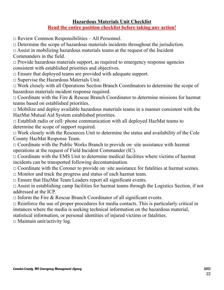### **Hazardous Materials Unit Checklist Read the entire position checklist before taking any action!**

 $\Box$  Review Common Responsibilities – All Personnel.

□ Determine the scope of hazardous materials incidents throughout the jurisdiction.

 $\Box$  Assist in mobilizing hazardous materials teams at the request of the Incident Commanders in the field.

 $\Box$  Provide hazardous materials support, as required to emergency response agencies consistent with established priorities and objectives.

 $\Box$  Ensure that deployed teams are provided with adequate support.

 $\Box$  Supervise the Hazardous Materials Unit.

 $\Box$  Work closely with all Operations Section Branch Coordinators to determine the scope of hazardous materials incident response required.

 $\Box$  Coordinate with the Fire & Rescue Branch Coordinator to determine missions for hazmat teams based on established priorities.

 $\Box$  Mobilize and deploy available hazardous materials teams in a manner consistent with the HazMat Mutual Aid System established priorities.

 $\Box$  Establish radio or cell-phone communication with all deployed HazMat teams to determine the scope of support required.

 $\Box$  Work closely with the Resources Unit to determine the status and availability of the Cole County HazMat Response Team.

□ Coordinate with the Public Works Branch to provide on‐site assistance with hazmat operations at the request of Field Incident Commander (IC).

 $\Box$  Coordinate with the EMS Unit to determine medical facilities where victims of hazmat incidents can be transported following decontamination.

□ Coordinate with the Coroner to provide on-site assistance for fatalities at hazmat scenes.

 $\Box$  Monitor and track the progress and status of each hazmat team.

□ Ensure that HazMat Team Leaders report all significant events.

 $\Box$  Assist in establishing camp facilities for hazmat teams through the Logistics Section, if not addressed at the ICP.

 $\Box$  Inform the Fire & Rescue Branch Coordinator of all significant events.

 $\Box$  Reinforce the use of proper procedures for media contacts. This is particularly critical in instances where the media is seeking technical information on the hazardous material,

statistical information, or personal identities of injured victims or fatalities.

 $\Box$  Maintain unit/activity log.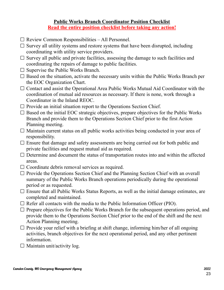### **Public Works Branch Coordinator Position Checklist Read the entire position checklist before taking any action!**

- $\Box$  Review Common Responsibilities All Personnel.
- $\Box$  Survey all utility systems and restore systems that have been disrupted, including coordinating with utility service providers.
- $\Box$  Survey all public and private facilities, assessing the damage to such facilities and coordinating the repairs of damage to public facilities.
- $\square$  Supervise the Public Works Branch.
- $\square$  Based on the situation, activate the necessary units within the Public Works Branch per the EOC Organization Chart.
- $\Box$  Contact and assist the Operational Area Public Works Mutual Aid Coordinator with the coordination of mutual aid resources as necessary. If there is none, work through a Coordinator in the Inland REOC.
- $\Box$  Provide an initial situation report to the Operations Section Chief.
- $\Box$  Based on the initial EOC strategic objectives, prepare objectives for the Public Works Branch and provide them to the Operations Section Chief prior to the first Action Planning meeting.
- $\Box$  Maintain current status on all public works activities being conducted in your area of responsibility.
- $\Box$  Ensure that damage and safety assessments are being carried out for both public and private facilities and request mutual aid as required.
- $\Box$  Determine and document the status of transportation routes into and within the affected areas.
- $\Box$  Coordinate debris removal services as required.
- $\Box$  Provide the Operations Section Chief and the Planning Section Chief with an overall summary of the Public Works Branch operations periodically during the operational period or as requested.
- $\Box$  Ensure that all Public Works Status Reports, as well as the initial damage estimates, are completed and maintained.
- $\Box$  Refer all contacts with the media to the Public Information Officer (PIO).
- $\Box$  Prepare objectives for the Public Works Branch for the subsequent operations period, and provide them to the Operations Section Chief prior to the end of the shift and the next Action Planning meeting.
- $\Box$  Provide your relief with a briefing at shift change, informing him/her of all ongoing activities, branch objectives for the next operational period, and any other pertinent information.
- $\Box$  Maintain unit/activity log.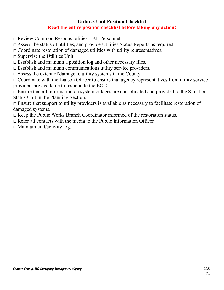### **Utilities Unit Position Checklist Read the entire position checklist before taking any action!**

 $\Box$  Review Common Responsibilities – All Personnel.

□ Assess the status of utilities, and provide Utilities Status Reports as required.

 $\Box$  Coordinate restoration of damaged utilities with utility representatives.

 $\Box$  Supervise the Utilities Unit.

 $\Box$  Establish and maintain a position log and other necessary files.

 $\Box$  Establish and maintain communications utility service providers.

 $\Box$  Assess the extent of damage to utility systems in the County.

 $\Box$  Coordinate with the Liaison Officer to ensure that agency representatives from utility service providers are available to respond to the EOC.

 $\Box$  Ensure that all information on system outages are consolidated and provided to the Situation Status Unit in the Planning Section.

 $\Box$  Ensure that support to utility providers is available as necessary to facilitate restoration of damaged systems.

 $\Box$  Keep the Public Works Branch Coordinator informed of the restoration status.

 $\Box$  Refer all contacts with the media to the Public Information Officer.

 $\Box$  Maintain unit/activity log.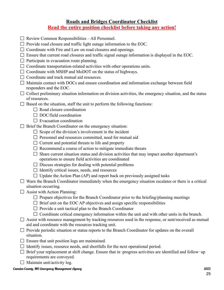### **Roads and Bridges Coordinator Checklist Read the entire position checklist before taking any action!**

- $\Box$  Review Common Responsibilities All Personnel.
- $\Box$  Provide road closure and traffic light outage information to the EOC.
- $\Box$  Coordinate with Fire and Law on road closures and openings.
- $\Box$  Ensure that current road closures and traffic signal outage information is displayed in the EOC.
- $\Box$  Participate in evacuation route planning.
- $\Box$  Coordinate transportation-related activities with other operations units.
- $\Box$  Coordinate with MSHP and MoDOT on the status of highways.
- $\Box$  Coordinate and track mutual aid resources.
- $\Box$  Maintain contact with DOCs and ensure coordination and information exchange between field responders and the EOC.
- $\Box$  Collect preliminary situation information on division activities, the emergency situation, and the status of resources.
- $\Box$  Based on the situation, staff the unit to perform the following functions:
	- $\Box$  Road closure coordination
	- $\Box$  DOC/field coordination
	- $\Box$  Evacuation coordination
- $\Box$  Brief the Branch Coordinator on the emergency situation:
	- $\Box$  Scope of the division's involvement in the incident
	- $\Box$  Personnel and resources committed, need for mutual aid
	- $\Box$  Current and potential threats to life and property
	- $\Box$  Recommend a course of action to mitigate immediate threats
	- $\Box$  Share current situation status and division activities that may impact another department's operations to ensure field activities are coordinated
	- $\Box$  Discuss strategies for dealing with potential problems
	- $\Box$  Identify critical issues, needs, and resources
	- $\Box$  Update the Action Plan (AP) and report back on previously assigned tasks
- $\Box$  Warn the Branch Coordinator immediately when the emergency situation escalates or there is a critical situation occurring.
- $\Box$  Assist with Action Planning:
	- $\Box$  Prepare objectives for the Branch Coordinator prior to the briefing/planning meetings
	- $\Box$  Brief unit on the EOC AP objectives and assign specific responsibilities
	- $\Box$  Provide a unit tactical plan to the Branch Coordinator
	- $\Box$  Coordinate critical emergency information within the unit and with other units in the branch.
- $\Box$  Assist with resource management by tracking resources used in the response, or sent/received as mutual aid and coordinate with the resources tracking unit.
- $\Box$  Provide periodic situation or status reports to the Branch Coordinator for updates on the overall situation.
- $\square$  Ensure that unit position logs are maintained.
- $\Box$  Identify issues, resource needs, and shortfalls for the next operational period.
- □ Brief your replacement at shift change. Ensure that in-progress activities are identified and follow-up requirements are conveyed.
- $\Box$  Maintain unit/activity log.

Camden County, MO Emergency Management Agency 2022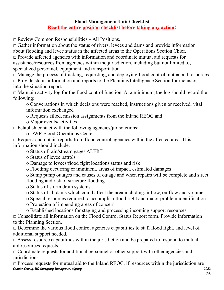### **Flood Management Unit Checklist Read the entire position checklist before taking any action!**

 $\Box$  Review Common Responsibilities – All Positions.

 $\Box$  Gather information about the status of rivers, levees and dams and provide information about flooding and levee status in the affected areas to the Operations Section Chief.  $\Box$  Provide affected agencies with information and coordinate mutual aid requests for assistance/resources from agencies within the jurisdiction, including but not limited to, specialized personnel, equipment and transportation.

□ Manage the process of tracking, requesting, and deploying flood control mutual aid resources. □ Provide status information and reports to the Planning/Intelligence Section for inclusion into the situation report.

 $\Box$  Maintain activity log for the flood control function. At a minimum, the log should record the following:

o Conversations in which decisions were reached, instructions given or received, vital information exchanged

- o Requests filled, mission assignments from the Inland REOC and
- o Major events/activities

 $\square$  Establish contact with the following agencies/jurisdictions:

o DWR Flood Operations Center

 $\Box$  Request and obtain reports from flood control agencies within the affected area. This information should include:

o Status of rain/stream gages ALERT

o Status of levee patrols

o Damage to levees/flood fight locations status and risk

o Flooding occurring or imminent, areas of impact, estimated damages

o Sump pump outages and causes of outage and when repairs will be complete and street flooding and risk of structure flooding

o Status of storm drain systems

o Status of all dams which could affect the area including: inflow, outflow and volume

o Special resources required to accomplish flood fight and major problem identification

o Projection of impending areas of concern

o Established locations for staging and processing incoming support resources

 $\Box$  Consolidate all information on the Flood Control Status Report form. Provide information to the Planning Section.

□ Determine the various flood control agencies capabilities to staff flood fight, and level of additional support needed.

 $\Box$  Assess resource capabilities within the jurisdiction and be prepared to respond to mutual aid resources requests.

 $\Box$  Coordinate requests for additional personnel or other support with other agencies and jurisdictions.

 $\square$  Process requests for mutual aid to the Inland REOC, if resources within the jurisdiction are Camden County, MO Emergency Management Agency 2022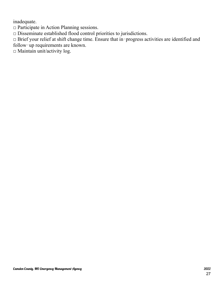inadequate.

□ Participate in Action Planning sessions.

□ Disseminate established flood control priorities to jurisdictions.

□ Brief your relief at shift change time. Ensure that in‐progress activities are identified and follow‐up requirements are known.

 $\square$  Maintain unit/activity log.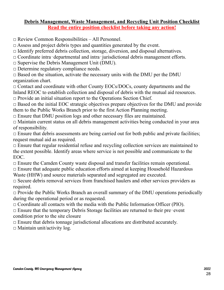### **Debris Management, Waste Management, and Recycling Unit Position Checklist Read the entire position checklist before taking any action!**

□ Review Common Responsibilities – All Personnel.

 $\Box$  Assess and project debris types and quantities generated by the event.

 $\Box$  Identify preferred debris collection, storage, diversion, and disposal alternatives.

□ Coordinate intra‐departmental and intra‐jurisdictional debris management efforts.

 $\square$  Supervise the Debris Management Unit (DMU).

□ Determine regulatory compliance needs.

 $\Box$  Based on the situation, activate the necessary units with the DMU per the DMU organization chart.

 $\Box$  Contact and coordinate with other County EOCs/DOCs, county departments and the Inland REOC to establish collection and disposal of debris with the mutual aid resources.

 $\Box$  Provide an initial situation report to the Operations Section Chief.

 $\Box$  Based on the initial EOC strategic objectives prepare objectives for the DMU and provide them to the Public Works Branch prior to the first Action Planning meeting.

 $\Box$  Ensure that DMU position logs and other necessary files are maintained.

 $\Box$  Maintain current status on all debris management activities being conducted in your area of responsibility.

 $\Box$  Ensure that debris assessments are being carried out for both public and private facilities; request mutual aid as required.

 $\Box$  Ensure that regular residential refuse and recycling collection services are maintained to the extent possible. Identify areas where service is not possible and communicate to the EOC.

 $\Box$  Ensure the Camden County waste disposal and transfer facilities remain operational.

 $\Box$  Ensure that adequate public education efforts aimed at keeping Household Hazardous Waste (HHW) and source materials separated and segregated are executed.

□ Secure debris removal services from franchised haulers and other services providers as required.

 $\Box$  Provide the Public Works Branch an overall summary of the DMU operations periodically during the operational period or as requested.

 $\Box$  Coordinate all contacts with the media with the Public Information Officer (PIO).

 $\Box$  Ensure that the temporary Debris Storage facilities are returned to their pre-event condition prior to the site closure

 $\Box$  Ensure that debris tonnage jurisdictional allocations are distributed accurately.

 $\square$  Maintain unit/activity log.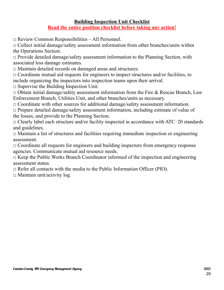### **Building Inspection Unit Checklist Read the entire position checklist before taking any action!**

□ Review Common Responsibilities – All Personnel.

 $\Box$  Collect initial damage/safety assessment information from other branches/units within the Operations Section.

□ Provide detailed damage/safety assessment information to the Planning Section, with associated loss damage estimates.

□ Maintain detailed records on damaged areas and structures.

 $\Box$  Coordinate mutual aid requests for engineers to inspect structures and/or facilities, to include organizing the inspectors into inspection teams upon their arrival.

 $\Box$  Supervise the Building Inspection Unit.

 $\Box$  Obtain initial damage/safety assessment information from the Fire & Rescue Branch, Law Enforcement Branch, Utilities Unit, and other branches/units as necessary.

 $\Box$  Coordinate with other sources for additional damage/safety assessment information.

 $\Box$  Prepare detailed damage/safety assessment information, including estimate of value of the losses, and provide to the Planning Section.

□ Clearly label each structure and/or facility inspected in accordance with ATC‐20 standards and guidelines.

 $\Box$  Maintain a list of structures and facilities requiring immediate inspection or engineering assessment.

 $\Box$  Coordinate all requests for engineers and building inspectors from emergency response agencies. Communicate mutual aid resource needs.

 $\Box$  Keep the Public Works Branch Coordinator informed of the inspection and engineering assessment status.

 $\Box$  Refer all contacts with the media to the Public Information Officer (PIO).

 $\Box$  Maintain unit/activity log.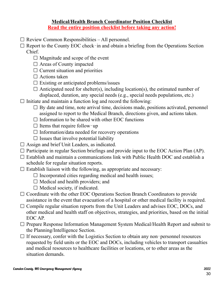### **Medical/Health Branch Coordinator Position Checklist Read the entire position checklist before taking any action!**

- $\Box$  Review Common Responsibilities All personnel.
- $\Box$  Report to the County EOC check–in and obtain a briefing from the Operations Section Chief.
	- $\Box$  Magnitude and scope of the event
	- □ Areas of County impacted
	- $\Box$  Current situation and priorities
	- $\Box$  Actions taken
	- $\square$  Existing or anticipated problems/issues
	- $\Box$  Anticipated need for shelter(s), including location(s), the estimated number of displaced, duration, any special needs (e.g., special needs populations, etc.)
- $\Box$  Initiate and maintain a function log and record the following:
	- $\Box$  By date and time, note arrival time, decisions made, positions activated, personnel assigned to report to the Medical Branch, directions given, and actions taken.
	- $\Box$  Information to be shared with other EOC functions
	- $\Box$  Items that require follow-up
	- $\Box$  Information/data needed for recovery operations
	- $\square$  Issues that involve potential liability
- Assign and brief Unit Leaders, as indicated.
- $\Box$  Participate in regular Section briefings and provide input to the EOC Action Plan (AP).
- $\Box$  Establish and maintain a communications link with Public Health DOC and establish a schedule for regular situation reports.
- $\Box$  Establish liaison with the following, as appropriate and necessary:
	- $\Box$  Incorporated cities regarding medical and health issues;
	- $\Box$  Medical and health providers; and
	- $\Box$  Medical society, if indicated.
- $\Box$  Coordinate with the other EOC Operations Section Branch Coordinators to provide assistance in the event that evacuation of a hospital or other medical facility is required.
- $\Box$  Compile regular situation reports from the Unit Leaders and advises EOC, DOCs, and other medical and health staff on objectives, strategies, and priorities, based on the initial EOC AP.
- $\Box$  Prepare Response Information Management System Medical/Health Report and submit to the Planning/Intelligence Section.
- $\Box$  If necessary, confer with the Logistics Section to obtain any non-personnel resources requested by field units or the EOC and DOCs, including vehicles to transport casualties and medical resources to healthcare facilities or locations, or to other areas as the situation demands.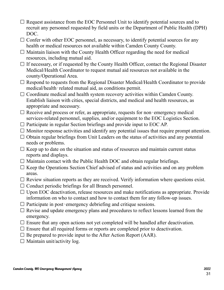- $\Box$  Request assistance from the EOC Personnel Unit to identify potential sources and to recruit any personnel requested by field units or the Department of Public Health (DPH) DOC.
- $\Box$  Confer with other EOC personnel, as necessary, to identify potential sources for any health or medical resources not available within Camden County County.
- $\Box$  Maintain liaison with the County Health Officer regarding the need for medical resources, including mutual aid.
- $\Box$  If necessary, or if requested by the County Health Officer, contact the Regional Disaster Medical/Health Coordinator to request mutual aid resources not available in the county/Operational Area.
- $\Box$  Respond to requests from the Regional Disaster Medical/Health Coordinator to provide medical/health‐related mutual aid, as conditions permit.
- $\Box$  Coordinate medical and health system recovery activities within Camden County. Establish liaison with cities, special districts, and medical and health resources, as appropriate and necessary.
- $\Box$  Receive and process or refer, as appropriate, requests for non-emergency medical services-related personnel, supplies, and/or equipment to the EOC Logistics Section.
- $\Box$  Participate in regular Section briefings and provide input to EOC AP.
- $\Box$  Monitor response activities and identify any potential issues that require prompt attention.
- $\Box$  Obtain regular briefings from Unit Leaders on the status of activities and any potential needs or problems.
- $\Box$  Keep up to date on the situation and status of resources and maintain current status reports and displays.
- $\Box$  Maintain contact with the Public Health DOC and obtain regular briefings.
- $\Box$  Keep the Operations Section Chief advised of status and activities and on any problem areas.
- $\Box$  Review situation reports as they are received. Verify information where questions exist.
- $\Box$  Conduct periodic briefings for all Branch personnel.
- $\Box$  Upon EOC deactivation, release resources and make notifications as appropriate. Provide information on who to contact and how to contact them for any follow-up issues.
- $\Box$  Participate in post-emergency debriefing and critique sessions.
- $\Box$  Revise and update emergency plans and procedures to reflect lessons learned from the emergency.
- $\Box$  Ensure that any open actions not yet completed will be handled after deactivation.
- $\Box$  Ensure that all required forms or reports are completed prior to deactivation.
- $\Box$  Be prepared to provide input to the After Action Report (AAR).
- $\Box$  Maintain unit/activity log.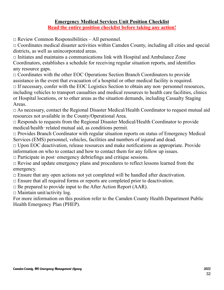### **Emergency Medical Services Unit Position Checklist Read the entire position checklist before taking any action!**

□ Review Common Responsibilities – All personnel.

 $\Box$  Coordinates medical disaster activities within Camden County, including all cities and special districts, as well as unincorporated areas.

 $\Box$  Initiates and maintains a communications link with Hospital and Ambulance Zone Coordinators, establishes a schedule for receiving regular situation reports, and identifies any resource gaps.

 $\Box$  Coordinates with the other EOC Operations Section Branch Coordinators to provide assistance in the event that evacuation of a hospital or other medical facility is required.

 $\Box$  If necessary, confer with the EOC Logistics Section to obtain any non-personnel resources, including vehicles to transport casualties and medical resources to health care facilities, clinics or Hospital locations, or to other areas as the situation demands, including Casualty Staging Areas.

□ As necessary, contact the Regional Disaster Medical/Health Coordinator to request mutual aid resources not available in the County/Operational Area.

 $\Box$  Responds to requests from the Regional Disaster Medical/Health Coordinator to provide medical/health‐related mutual aid, as conditions permit.

 $\Box$  Provides Branch Coordinator with regular situation reports on status of Emergency Medical Services (EMS) personnel, vehicles, facilities and numbers of injured and dead.

 $\Box$  Upon EOC deactivation, release resources and make notifications as appropriate. Provide information on who to contact and how to contact them for any follow up issues.

 $\Box$  Participate in post-emergency debriefings and critique sessions.

 $\Box$  Revise and update emergency plans and procedures to reflect lessons learned from the emergency.

 $\Box$  Ensure that any open actions not yet completed will be handled after deactivation.

 $\Box$  Ensure that all required forms or reports are completed prior to deactivation.

 $\square$  Be prepared to provide input to the After Action Report (AAR).

 $\Box$  Maintain unit/activity log.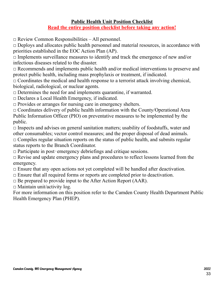### **Public Health Unit Position Checklist Read the entire position checklist before taking any action!**

□ Review Common Responsibilities – All personnel.

 $\Box$  Deploys and allocates public health personnel and material resources, in accordance with priorities established in the EOC Action Plan (AP).

 $\Box$  Implements surveillance measures to identify and track the emergence of new and/or infectious diseases related to the disaster.

 $\Box$  Recommends and implements public health and/or medical interventions to preserve and protect public health, including mass prophylaxis or treatment, if indicated.

 $\Box$  Coordinates the medical and health response to a terrorist attack involving chemical, biological, radiological, or nuclear agents.

 $\Box$  Determines the need for and implements quarantine, if warranted.

□ Declares a Local Health Emergency, if indicated.

□ Provides or arranges for nursing care in emergency shelters.

 $\Box$  Coordinates delivery of public health information with the County/Operational Area Public Information Officer (PIO) on preventative measures to be implemented by the public.

 $\Box$  Inspects and advises on general sanitation matters; usability of foodstuffs, water and other consumables; vector control measures; and the proper disposal of dead animals.

 $\Box$  Compiles regular situation reports on the status of public health, and submits regular status reports to the Branch Coordinator.

 $\Box$  Participate in post-emergency debriefings and critique sessions.

 $\Box$  Revise and update emergency plans and procedures to reflect lessons learned from the emergency.

 $\Box$  Ensure that any open actions not yet completed will be handled after deactivation.

 $\Box$  Ensure that all required forms or reports are completed prior to deactivation.

 $\Box$  Be prepared to provide input to the After Action Report (AAR).

 $\Box$  Maintain unit/activity log.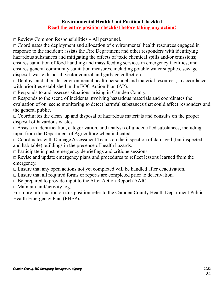### **Environmental Health Unit Position Checklist Read the entire position checklist before taking any action!**

□ Review Common Responsibilities – All personnel.

 $\Box$  Coordinates the deployment and allocation of environmental health resources engaged in response to the incident; assists the Fire Department and other responders with identifying hazardous substances and mitigating the effects of toxic chemical spills and/or emissions; ensures sanitation of food handling and mass feeding services in emergency facilities; and ensures general community sanitation measures, including potable water supplies, sewage disposal, waste disposal, vector control and garbage collection.

 $\Box$  Deploys and allocates environmental health personnel and material resources, in accordance with priorities established in the EOC Action Plan (AP).

 $\Box$  Responds to and assesses situations arising in Camden County.

 $\Box$  Responds to the scene of incidents involving hazardous materials and coordinates the evaluation of on-scene monitoring to detect harmful substances that could affect responders and the general public.

□ Coordinates the clean‐up and disposal of hazardous materials and consults on the proper disposal of hazardous wastes.

 $\Box$  Assists in identification, categorization, and analysis of unidentified substances, including input from the Department of Agriculture when indicated.

□ Coordinates with Damage Assessment Teams on the inspection of damaged (but inspected and habitable) buildings in the presence of health hazards.

 $\Box$  Participate in post-emergency debriefings and critique sessions.

 $\Box$  Revise and update emergency plans and procedures to reflect lessons learned from the emergency.

 $\Box$  Ensure that any open actions not yet completed will be handled after deactivation.

 $\Box$  Ensure that all required forms or reports are completed prior to deactivation.

 $\Box$  Be prepared to provide input to the After Action Report (AAR).

 $\Box$  Maintain unit/activity log.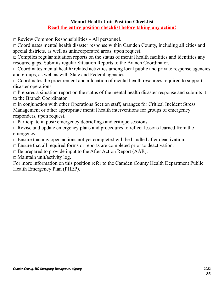### **Mental Health Unit Position Checklist Read the entire position checklist before taking any action!**

□ Review Common Responsibilities – All personnel.

 $\Box$  Coordinates mental health disaster response within Camden County, including all cities and special districts, as well as unincorporated areas, upon request.

 $\Box$  Compiles regular situation reports on the status of mental health facilities and identifies any resource gaps. Submits regular Situation Reports to the Branch Coordinator.

 $\Box$  Coordinates mental health-related activities among local public and private response agencies and groups, as well as with State and Federal agencies.

 $\Box$  Coordinates the procurement and allocation of mental health resources required to support disaster operations.

 $\Box$  Prepares a situation report on the status of the mental health disaster response and submits it to the Branch Coordinator.

 $\Box$  In conjunction with other Operations Section staff, arranges for Critical Incident Stress Management or other appropriate mental health interventions for groups of emergency responders, upon request.

 $\Box$  Participate in post-emergency debriefings and critique sessions.

□ Revise and update emergency plans and procedures to reflect lessons learned from the emergency.

 $\Box$  Ensure that any open actions not yet completed will be handled after deactivation.

□ Ensure that all required forms or reports are completed prior to deactivation.

 $\Box$  Be prepared to provide input to the After Action Report (AAR).

 $\Box$  Maintain unit/activity log.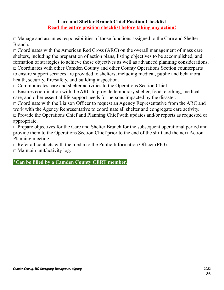### **Care and Shelter Branch Chief Position Checklist Read the entire position checklist before taking any action!**

 $\Box$  Manage and assumes responsibilities of those functions assigned to the Care and Shelter Branch.

 $\Box$  Coordinates with the American Red Cross (ARC) on the overall management of mass care shelters, including the preparation of action plans, listing objectives to be accomplished, and formation of strategies to achieve those objectives as well as advanced planning considerations. □ Coordinates with other Camden County and other County Operations Section counterparts to ensure support services are provided to shelters, including medical, public and behavioral health, security, fire/safety, and building inspection.

 $\Box$  Communicates care and shelter activities to the Operations Section Chief.

 $\Box$  Ensures coordination with the ARC to provide temporary shelter, food, clothing, medical care, and other essential life support needs for persons impacted by the disaster.

 $\Box$  Coordinate with the Liaison Officer to request an Agency Representative from the ARC and work with the Agency Representative to coordinate all shelter and congregate care activity.

 $\Box$  Provide the Operations Chief and Planning Chief with updates and/or reports as requested or appropriate.

 $\Box$  Prepare objectives for the Care and Shelter Branch for the subsequent operational period and provide them to the Operations Section Chief prior to the end of the shift and the next Action Planning meeting.

 $\Box$  Refer all contacts with the media to the Public Information Officer (PIO).  $\Box$  Maintain unit/activity log.

**\*Can be filled by a Camden County CERT member.**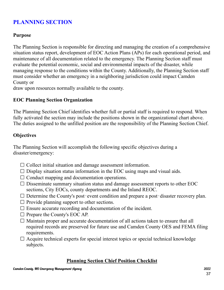## **PLANNING SECTION**

### **Purpose**

The Planning Section is responsible for directing and managing the creation of a comprehensive situation status report, development of EOC Action Plans (APs) for each operational period, and maintenance of all documentation related to the emergency. The Planning Section staff must evaluate the potential economic, social and environmental impacts of the disaster, while managing response to the conditions within the County. Additionally, the Planning Section staff must consider whether an emergency in a neighboring jurisdiction could impact Camden County or

draw upon resources normally available to the county.

### **EOC Planning Section Organization**

The Planning Section Chief identifies whether full or partial staff is required to respond. When fully activated the section may include the positions shown in the organizational chart above. The duties assigned to the unfilled position are the responsibility of the Planning Section Chief.

### **Objectives**

The Planning Section will accomplish the following specific objectives during a disaster/emergency:

- $\Box$  Collect initial situation and damage assessment information.
- $\Box$  Display situation status information in the EOC using maps and visual aids.
- $\Box$  Conduct mapping and documentation operations.
- $\Box$  Disseminate summary situation status and damage assessment reports to other EOC sections, City EOCs, county departments and the Inland REOC.
- $\Box$  Determine the County's post-event condition and prepare a post-disaster recovery plan.
- $\Box$  Provide planning support to other sections.
- $\square$  Ensure accurate recording and documentation of the incident.
- $\Box$  Prepare the County's EOC AP.
- $\Box$  Maintain proper and accurate documentation of all actions taken to ensure that all required records are preserved for future use and Camden County OES and FEMA filing requirements.
- $\Box$  Acquire technical experts for special interest topics or special technical knowledge subjects.

### **Planning Section Chief Position Checklist**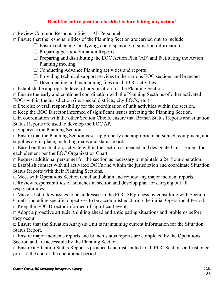### **Read the entire position checklist before taking any action!**

 $\Box$  Review Common Responsibilities – All Personnel.

 $\Box$  Ensure that the responsibilities of the Planning Section are carried out, to include:

- $\square$  Ensure collecting, analyzing, and displaying of situation information
	- $\Box$  Preparing periodic Situation Reports
	- $\Box$  Preparing and distributing the EOC Action Plan (AP) and facilitating the Action Planning meeting
	- $\Box$  Conducting Advance Planning activities and reports
	- $\Box$  Providing technical support services to the various EOC sections and branches
	- $\Box$  Documenting and maintaining files on all EOC activities

 $\Box$  Establish the appropriate level of organization for the Planning Section.

 $\Box$  Ensure the early and continued coordination with the Planning Sections of other activated EOCs within the jurisdiction (i.e. special districts, city EOCs, etc.).

 $\Box$  Exercise overall responsibility for the coordination of unit activities within the section.

 $\Box$  Keep the EOC Director informed of significant issues affecting the Planning Section.

 $\Box$  In coordination with the other Section Chiefs, ensure that Branch Status Reports and situation Status Reports are used to develop the EOC AP.

 $\square$  Supervise the Planning Section.

□ Ensure that the Planning Section is set up properly and appropriate personnel, equipment, and supplies are in place, including maps and status boards.

 $\Box$  Based on the situation, activate within the section as needed and designate Unit Leaders for each element per the EOC Organization Chart.

 $\Box$  Request additional personnel for the section as necessary to maintain a 24–hour operation.

 $\Box$  Establish contact with all activated DOCs and within the jurisdiction and coordinate Situation Status Reports with their Planning Sections.

□ Meet with Operations Section Chief and obtain and review any major incident reports.

 $\Box$  Review responsibilities of branches in section and develop plan for carrying out all responsibilities.

 $\Box$  Make a list of key issues to be addressed in the EOC AP process by consulting with Section Chiefs, including specific objectives to be accomplished during the initial Operational Period.  $\Box$  Keep the EOC Director informed of significant events.

 $\Box$  Adopt a proactive attitude, thinking ahead and anticipating situations and problems before they occur.

 $\Box$  Ensure that the Situation Analysis Unit is maintaining current information for the Situation Status Report.

 $\Box$  Ensure major incidents reports and branch status reports are completed by the Operations Section and are accessible by the Planning Section.

 $\Box$  Ensure a Situation Status Report is produced and distributed to all EOC Sections at least once, prior to the end of the operational period.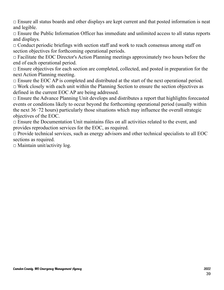$\Box$  Ensure all status boards and other displays are kept current and that posted information is neat and legible.

 $\Box$  Ensure the Public Information Officer has immediate and unlimited access to all status reports and displays.

 $\Box$  Conduct periodic briefings with section staff and work to reach consensus among staff on section objectives for forthcoming operational periods.

 $\Box$  Facilitate the EOC Director's Action Planning meetings approximately two hours before the end of each operational period.

 $\Box$  Ensure objectives for each section are completed, collected, and posted in preparation for the next Action Planning meeting.

 $\Box$  Ensure the EOC AP is completed and distributed at the start of the next operational period.

 $\Box$  Work closely with each unit within the Planning Section to ensure the section objectives as defined in the current EOC AP are being addressed.

 $\Box$  Ensure the Advance Planning Unit develops and distributes a report that highlights forecasted events or conditions likely to occur beyond the forthcoming operational period (usually within the next 36‐72 hours) particularly those situations which may influence the overall strategic objectives of the EOC.

 $\Box$  Ensure the Documentation Unit maintains files on all activities related to the event, and provides reproduction services for the EOC, as required.

 $\Box$  Provide technical services, such as energy advisors and other technical specialists to all EOC sections as required.

 $\Box$  Maintain unit/activity log.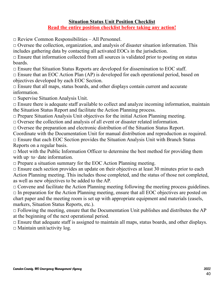### **Situation Status Unit Position Checklist Read the entire position checklist before taking any action!**

 $\Box$  Review Common Responsibilities – All Personnel.

 $\Box$  Oversee the collection, organization, and analysis of disaster situation information. This includes gathering data by contacting all activated EOCs in the jurisdiction.

 $\Box$  Ensure that information collected from all sources is validated prior to posting on status boards.

 $\Box$  Ensure that Situation Status Reports are developed for dissemination to EOC staff.

 $\Box$  Ensure that an EOC Action Plan (AP) is developed for each operational period, based on objectives developed by each EOC Section.

□ Ensure that all maps, status boards, and other displays contain current and accurate information.

□ Supervise Situation Analysis Unit.

 $\Box$  Ensure there is adequate staff available to collect and analyze incoming information, maintain the Situation Status Report and facilitate the Action Planning process.

 $\Box$  Prepare Situation Analysis Unit objectives for the initial Action Planning meeting.

 $\Box$  Oversee the collection and analysis of all event or disaster related information.

□ Oversee the preparation and electronic distribution of the Situation Status Report.

Coordinate with the Documentation Unit for manual distribution and reproduction as required.

 $\Box$  Ensure that each EOC Section provides the Situation Analysis Unit with Branch Status Reports on a regular basis.

 $\Box$  Meet with the Public Information Officer to determine the best method for providing them with up-to-date information.

 $\Box$  Prepare a situation summary for the EOC Action Planning meeting.

 $\Box$  Ensure each section provides an update on their objectives at least 30 minutes prior to each Action Planning meeting. This includes those completed, and the status of those not completed, as well as new objectives to be added to the AP.

 $\Box$  Convene and facilitate the Action Planning meeting following the meeting process guidelines.  $\Box$  In preparation for the Action Planning meeting, ensure that all EOC objectives are posted on chart paper and the meeting room is set up with appropriate equipment and materials (easels, markers, Situation Status Reports, etc.).

 $\Box$  Following the meeting, ensure that the Documentation Unit publishes and distributes the AP at the beginning of the next operational period.

 $\Box$  Ensure that adequate staff is assigned to maintain all maps, status boards, and other displays.  $\square$  Maintain unit/activity log.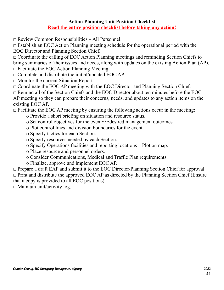### **Action Planning Unit Position Checklist Read the entire position checklist before taking any action!**

□ Review Common Responsibilities – All Personnel.

 $\Box$  Establish an EOC Action Planning meeting schedule for the operational period with the EOC Director and Planning Section Chief.

 $\Box$  Coordinate the calling of EOC Action Planning meetings and reminding Section Chiefs to bring summaries of their issues and needs, along with updates on the existing Action Plan (AP).

 $\Box$  Facilitate the EOC Action Planning Meeting.

 $\Box$  Complete and distribute the initial/updated EOC AP.

- □ Monitor the current Situation Report.
- $\Box$  Coordinate the EOC AP meeting with the EOC Director and Planning Section Chief.

 $\Box$  Remind all of the Section Chiefs and the EOC Director about ten minutes before the EOC

AP meeting so they can prepare their concerns, needs, and updates to any action items on the existing EOC AP.

 $\Box$  Facilitate the EOC AP meeting by ensuring the following actions occur in the meeting:

- o Provide a short briefing on situation and resource status.
- o Set control objectives for the event‐‐‐desired management outcomes.
- o Plot control lines and division boundaries for the event.
- o Specify tactics for each Section.
- o Specify resources needed by each Section.
- o Specify Operations facilities and reporting locations‐‐Plot on map.
- o Place resource and personnel orders.
- o Consider Communications, Medical and Traffic Plan requirements.
- o Finalize, approve and implement EOC AP.

□ Prepare a draft EAP and submit it to the EOC Director/Planning Section Chief for approval.  $\Box$  Print and distribute the approved EOC AP as directed by the Planning Section Chief (Ensure that a copy is provided to all EOC positions).

 $\square$  Maintain unit/activity log.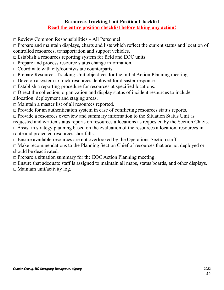### **Resources Tracking Unit Position Checklist Read the entire position checklist before taking any action!**

□ Review Common Responsibilities – All Personnel.

 $\Box$  Prepare and maintain displays, charts and lists which reflect the current status and location of controlled resources, transportation and support vehicles.

 $\Box$  Establish a resources reporting system for field and EOC units.

□ Prepare and process resource status change information.

□ Coordinate with city/county/state counterparts.

 $\Box$  Prepare Resources Tracking Unit objectives for the initial Action Planning meeting.

 $\Box$  Develop a system to track resources deployed for disaster response.

 $\Box$  Establish a reporting procedure for resources at specified locations.

 $\Box$  Direct the collection, organization and display status of incident resources to include allocation, deployment and staging areas.

□ Maintain a master list of all resources reported.

 $\Box$  Provide for an authentication system in case of conflicting resources status reports.

 $\Box$  Provide a resources overview and summary information to the Situation Status Unit as requested and written status reports on resources allocations as requested by the Section Chiefs. □ Assist in strategy planning based on the evaluation of the resources allocation, resources in route and projected resources shortfalls.

 $\square$  Ensure available resources are not overlooked by the Operations Section staff.

□ Make recommendations to the Planning Section Chief of resources that are not deployed or should be deactivated.

 $\Box$  Prepare a situation summary for the EOC Action Planning meeting.

 $\Box$  Ensure that adequate staff is assigned to maintain all maps, status boards, and other displays.

 $\Box$  Maintain unit/activity log.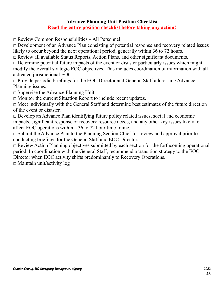### **Advance Planning Unit Position Checklist Read the entire position checklist before taking any action!**

□ Review Common Responsibilities – All Personnel.

□ Development of an Advance Plan consisting of potential response and recovery related issues likely to occur beyond the next operational period, generally within 36 to 72 hours.

□ Review all available Status Reports, Action Plans, and other significant documents.

 $\Box$  Determine potential future impacts of the event or disaster particularly issues which might modify the overall strategic EOC objectives. This includes coordination of information with all activated jurisdictional EOCs.

 $\Box$  Provide periodic briefings for the EOC Director and General Staff addressing Advance Planning issues.

 $\Box$  Supervise the Advance Planning Unit.

 $\Box$  Monitor the current Situation Report to include recent updates.

 $\Box$  Meet individually with the General Staff and determine best estimates of the future direction of the event or disaster.

 $\Box$  Develop an Advance Plan identifying future policy related issues, social and economic impacts, significant response or recovery resource needs, and any other key issues likely to affect EOC operations within a 36 to 72 hour time frame.

 $\Box$  Submit the Advance Plan to the Planning Section Chief for review and approval prior to conducting briefings for the General Staff and EOC Director.

 $\Box$  Review Action Planning objectives submitted by each section for the forthcoming operational period. In coordination with the General Staff, recommend a transition strategy to the EOC Director when EOC activity shifts predominantly to Recovery Operations.

 $\Box$  Maintain unit/activity log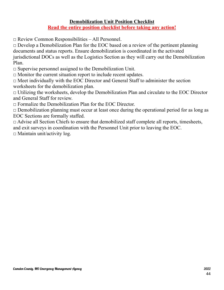### **Demobilization Unit Position Checklist Read the entire position checklist before taking any action!**

 $\Box$  Review Common Responsibilities – All Personnel.

 $\Box$  Develop a Demobilization Plan for the EOC based on a review of the pertinent planning documents and status reports. Ensure demobilization is coordinated in the activated jurisdictional DOCs as well as the Logistics Section as they will carry out the Demobilization Plan.

 $\square$  Supervise personnel assigned to the Demobilization Unit.

 $\Box$  Monitor the current situation report to include recent updates.

 $\Box$  Meet individually with the EOC Director and General Staff to administer the section worksheets for the demobilization plan.

 $\Box$  Utilizing the worksheets, develop the Demobilization Plan and circulate to the EOC Director and General Staff for review.

 $\Box$  Formalize the Demobilization Plan for the EOC Director.

 $\Box$  Demobilization planning must occur at least once during the operational period for as long as EOC Sections are formally staffed.

 $\Box$  Advise all Section Chiefs to ensure that demobilized staff complete all reports, timesheets, and exit surveys in coordination with the Personnel Unit prior to leaving the EOC.

 $\Box$  Maintain unit/activity log.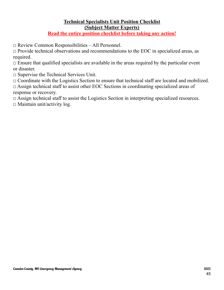### **Technical Specialists Unit Position Checklist (Subject Matter Experts)**

### **Read the entire position checklist before taking any action!**

 $\Box$  Review Common Responsibilities – All Personnel.

 $\Box$  Provide technical observations and recommendations to the EOC in specialized areas, as required.

 $\Box$  Ensure that qualified specialists are available in the areas required by the particular event or disaster.

 $\Box$  Supervise the Technical Services Unit.

 $\Box$  Coordinate with the Logistics Section to ensure that technical staff are located and mobilized.

 $\Box$  Assign technical staff to assist other EOC Sections in coordinating specialized areas of response or recovery.

□ Assign technical staff to assist the Logistics Section in interpreting specialized resources.

 $\Box$  Maintain unit/activity log.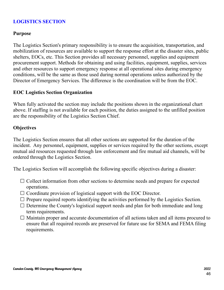### **LOGISTICS SECTION**

### **Purpose**

The Logistics Section's primary responsibility is to ensure the acquisition, transportation, and mobilization of resources are available to support the response effort at the disaster sites, public shelters, EOCs, etc. This Section provides all necessary personnel, supplies and equipment procurement support. Methods for obtaining and using facilities, equipment, supplies, services and other resources to support emergency response at all operational sites during emergency conditions, will be the same as those used during normal operations unless authorized by the Director of Emergency Services. The difference is the coordination will be from the EOC.

### **EOC Logistics Section Organization**

When fully activated the section may include the positions shown in the organizational chart above. If staffing is not available for each position, the duties assigned to the unfilled position are the responsibility of the Logistics Section Chief.

### **Objectives**

The Logistics Section ensures that all other sections are supported for the duration of the incident. Any personnel, equipment, supplies or services required by the other sections, except mutual aid resources requested through law enforcement and fire mutual aid channels, will be ordered through the Logistics Section.

The Logistics Section will accomplish the following specific objectives during a disaster:

- $\Box$  Collect information from other sections to determine needs and prepare for expected operations.
- $\Box$  Coordinate provision of logistical support with the EOC Director.
- $\Box$  Prepare required reports identifying the activities performed by the Logistics Section.
- $\Box$  Determine the County's logistical support needs and plan for both immediate and long term requirements.
- $\Box$  Maintain proper and accurate documentation of all actions taken and all items procured to ensure that all required records are preserved for future use for SEMA and FEMA filing requirements.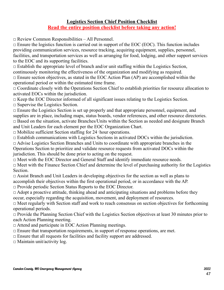### **Logistics Section Chief Position Checklist Read the entire position checklist before taking any action!**

 $\Box$  Review Common Responsibilities – All Personnel.

 $\Box$  Ensure the logistics function is carried out in support of the EOC (EOC). This function includes providing communication services, resource tracking, acquiring equipment, supplies, personnel, facilities, and transportation services as well as arranging for food, lodging, and other support services to the EOC and its supporting facilities.

 $\Box$  Establish the appropriate level of branch and/or unit staffing within the Logistics Section, continuously monitoring the effectiveness of the organization and modifying as required.

 $\square$  Ensure section objectives, as stated in the EOC Action Plan (AP) are accomplished within the operational period or within the estimated time frame.

 $\Box$  Coordinate closely with the Operations Section Chief to establish priorities for resource allocation to activated EOCs within the jurisdiction.

 $\Box$  Keep the EOC Director informed of all significant issues relating to the Logistics Section.

 $\square$  Supervise the Logistics Section.

□ Ensure the Logistics Section is set up properly and that appropriate personnel, equipment, and supplies are in place, including maps, status boards, vendor references, and other resource directories.  $\Box$  Based on the situation, activate Branches/Units within the Section as needed and designate Branch and Unit Leaders for each element per the EOC Organization Chart.

 $\Box$  Mobilize sufficient Section staffing for 24-hour operations.

 $\Box$  Establish communications with Logistics Sections in activated DOCs within the jurisdiction.

 $\Box$  Advise Logistics Section Branches and Units to coordinate with appropriate branches in the

Operations Section to prioritize and validate resource requests from activated DOCs within the jurisdiction. This should be done prior to acting on the request.

□ Meet with the EOC Director and General Staff and identify immediate resource needs.

 $\Box$  Meet with the Finance Section Chief and determine the level of purchasing authority for the Logistics **Section** 

 $\Box$  Assist Branch and Unit Leaders in developing objectives for the section as well as plans to accomplish their objectives within the first operational period, or in accordance with the AP.  $\Box$  Provide periodic Section Status Reports to the EOC Director.

 $\Box$  Adopt a proactive attitude, thinking ahead and anticipating situations and problems before they occur, especially regarding the acquisition, movement, and deployment of resources.

 $\Box$  Meet regularly with Section staff and work to reach consensus on section objectives for forthcoming operational periods.

 $\Box$  Provide the Planning Section Chief with the Logistics Section objectives at least 30 minutes prior to each Action Planning meeting.

□ Attend and participate in EOC Action Planning meetings.

 $\Box$  Ensure that transportation requirements, in support of response operations, are met.

 $\Box$  Ensure that all requests for facilities and facility support are addressed.

 $\Box$  Maintain unit/activity log.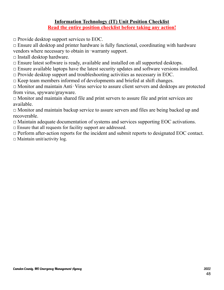### **Information Technology (IT) Unit Position Checklist Read the entire position checklist before taking any action!**

 $\Box$  Provide desktop support services to EOC.

 $\Box$  Ensure all desktop and printer hardware is fully functional, coordinating with hardware vendors where necessary to obtain in‐warranty support.

- $\Box$  Install desktop hardware.
- □ Ensure latest software is ready, available and installed on all supported desktops.
- $\Box$  Ensure available laptops have the latest security updates and software versions installed.
- $\Box$  Provide desktop support and troubleshooting activities as necessary in EOC.
- $\Box$  Keep team members informed of developments and briefed at shift changes.

□ Monitor and maintain Anti‐Virus service to assure client servers and desktops are protected from virus, spyware/grayware.

□ Monitor and maintain shared file and print servers to assure file and print services are available.

 $\Box$  Monitor and maintain backup service to assure servers and files are being backed up and recoverable.

- □ Maintain adequate documentation of systems and services supporting EOC activations.
- $\Box$  Ensure that all requests for facility support are addressed.

 $\Box$  Perform after-action reports for the incident and submit reports to designated EOC contact.  $\square$  Maintain unit/activity log.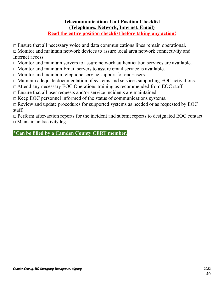## **Telecommunications Unit Position Checklist (Telephones, Network, Internet, Email)**

**Read the entire position checklist before taking any action!**

 $\Box$  Ensure that all necessary voice and data communications lines remain operational.

□ Monitor and maintain network devices to assure local area network connectivity and Internet access

□ Monitor and maintain servers to assure network authentication services are available.

 $\Box$  Monitor and maintain Email servers to assure email service is available.

□ Monitor and maintain telephone service support for end‐users.

□ Maintain adequate documentation of systems and services supporting EOC activations.

□ Attend any necessary EOC Operations training as recommended from EOC staff.

 $\Box$  Ensure that all user requests and/or service incidents are maintained

 $\Box$  Keep EOC personnel informed of the status of communications systems.

 $\Box$  Review and update procedures for supported systems as needed or as requested by EOC staff.

□ Perform after-action reports for the incident and submit reports to designated EOC contact.  $\square$  Maintain unit/activity log.

**\*Can be filled by a Camden County CERT member.**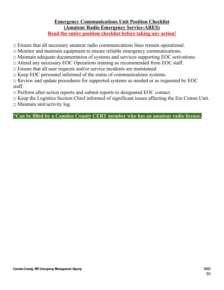#### **Emergency Communications Unit Position Checklist (Amateur Radio Emergency Service-ARES) Read the entire position checklist before taking any action!**

 $\Box$  Ensure that all necessary amateur radio communications lines remain operational.

□ Monitor and maintain equipment to ensure reliable emergency communications.

□ Maintain adequate documentation of systems and services supporting EOC activations.

□ Attend any necessary EOC Operations training as recommended from EOC staff.

 $\Box$  Ensure that all user requests and/or service incidents are maintained

 $\Box$  Keep EOC personnel informed of the status of communications systems.

 $\Box$  Review and update procedures for supported systems as needed or as requested by EOC staff.

 $\Box$  Perform after-action reports and submit reports to designated EOC contact.

 $\Box$  Keep the Logistics Section Chief informed of significant issues affecting the Em Comm Unit.

 $\Box$  Maintain unit/activity log.

**\*Can be filled by a Camden County CERT member who has an amateur radio license.**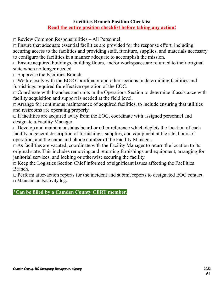### **Facilities Branch Position Checklist Read the entire position checklist before taking any action!**

□ Review Common Responsibilities – All Personnel.

 $\Box$  Ensure that adequate essential facilities are provided for the response effort, including securing access to the facilities and providing staff, furniture, supplies, and materials necessary to configure the facilities in a manner adequate to accomplish the mission.

 $\Box$  Ensure acquired buildings, building floors, and/or workspaces are returned to their original state when no longer needed.

 $\square$  Supervise the Facilities Branch.

 $\Box$  Work closely with the EOC Coordinator and other sections in determining facilities and furnishings required for effective operation of the EOC.

 $\Box$  Coordinate with branches and units in the Operations Section to determine if assistance with facility acquisition and support is needed at the field level.

 $\Box$  Arrange for continuous maintenance of acquired facilities, to include ensuring that utilities and restrooms are operating properly.

 $\Box$  If facilities are acquired away from the EOC, coordinate with assigned personnel and designate a Facility Manager.

 $\Box$  Develop and maintain a status board or other reference which depicts the location of each facility, a general description of furnishings, supplies, and equipment at the site, hours of operation, and the name and phone number of the Facility Manager.

 $\Box$  As facilities are vacated, coordinate with the Facility Manager to return the location to its original state. This includes removing and returning furnishings and equipment, arranging for janitorial services, and locking or otherwise securing the facility.

 $\Box$  Keep the Logistics Section Chief informed of significant issues affecting the Facilities Branch.

□ Perform after-action reports for the incident and submit reports to designated EOC contact.  $\square$  Maintain unit/activity log.

### **\*Can be filled by a Camden County CERT member.**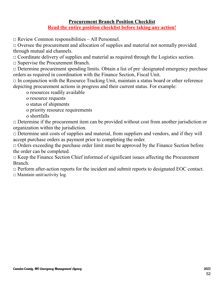### **Procurement Branch Position Checklist Read the entire position checklist before taking any action!**

□ Review Common responsibilities – All Personnel.

 $\Box$  Oversee the procurement and allocation of supplies and material not normally provided through mutual aid channels.

 $\Box$  Coordinate delivery of supplies and material as required through the Logistics section.

□ Supervise the Procurement Branch.

□ Determine procurement spending limits. Obtain a list of pre‐designated emergency purchase orders as required in coordination with the Finance Section, Fiscal Unit.

 $\Box$  In conjunction with the Resource Tracking Unit, maintain a status board or other reference depicting procurement actions in progress and their current status. For example:

o resources readily available

o resource requests

o status of shipments

o priority resource requirements

o shortfalls

 $\Box$  Determine if the procurement item can be provided without cost from another jurisdiction or organization within the jurisdiction.

 $\Box$  Determine unit costs of supplies and material, from suppliers and vendors, and if they will accept purchase orders as payment prior to completing the order.

 $\Box$  Orders exceeding the purchase order limit must be approved by the Finance Section before the order can be completed.

 $\Box$  Keep the Finance Section Chief informed of significant issues affecting the Procurement Branch.

 $\Box$  Perform after-action reports for the incident and submit reports to designated EOC contact.  $\Box$  Maintain unit/activity log.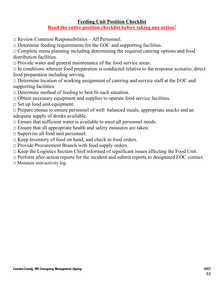### **Feeding Unit Position Checklist Read the entire position checklist before taking any action!**

□ Review Common Responsibilities – All Personnel.

 $\Box$  Determine feeding requirements for the EOC and supporting facilities.

 $\Box$  Complete menu planning including determining the required catering options and food distribution facilities.

 $\Box$  Provide water and general maintenance of the food service areas.

 $\Box$  In conditions wherein food preparation is conducted relative to the response scenario, direct food preparation including serving.

 $\Box$  Determine location of working assignment of catering and service staff at the EOC and supporting facilities.

 $\Box$  Determine method of feeding to best fit each situation.

 $\Box$  Obtain necessary equipment and supplies to operate food service facilities.

 $\Box$  Set up food unit equipment.

□ Prepare menus to ensure personnel of well‐balanced meals, appropriate snacks and an adequate supply of drinks available.

 $\Box$  Ensure that sufficient water is available to meet all personnel needs.

 $\Box$  Ensure that all appropriate health and safety measures are taken.

 $\Box$  Supervise all food unit personnel.

 $\Box$  Keep inventory of food on hand, and check in food orders.

 $\Box$  Provide Procurement Branch with food supply orders.

 $\Box$  Keep the Logistics Section Chief informed of significant issues affecting the Food Unit.

□ Perform after-action reports for the incident and submit reports to designated EOC contact.

 $\Box$  Maintain unit/activity log.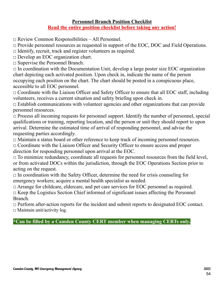### **Personnel Branch Position Checklist Read the entire position checklist before taking any action!**

 $\Box$  Review Common Responsibilities – All Personnel.

 $\Box$  Provide personnel resources as requested in support of the EOC, DOC and Field Operations.

 $\Box$  Identify, recruit, track and register volunteers as required.

□ Develop an EOC organization chart.

□ Supervise the Personnel Branch.

 $\Box$  In coordination with the Documentation Unit, develop a large poster size EOC organization chart depicting each activated position. Upon check in, indicate the name of the person occupying each position on the chart. The chart should be posted in a conspicuous place, accessible to all EOC personnel.

 $\Box$  Coordinate with the Liaison Officer and Safety Officer to ensure that all EOC staff, including volunteers, receives a current situation and safety briefing upon check in.

 $\Box$  Establish communications with volunteer agencies and other organizations that can provide personnel resources.

 $\Box$  Process all incoming requests for personnel support. Identify the number of personnel, special qualifications or training, reporting location, and the person or unit they should report to upon arrival. Determine the estimated time of arrival of responding personnel, and advise the requesting parties accordingly.

 $\Box$  Maintain a status board or other reference to keep track of incoming personnel resources.

 $\Box$  Coordinate with the Liaison Officer and Security Officer to ensure access and proper direction for responding personnel upon arrival at the EOC.

 $\Box$  To minimize redundancy, coordinate all requests for personnel resources from the field level, or from activated DOCs within the jurisdiction, through the EOC Operations Section prior to acting on the request.

 $\Box$  In coordination with the Safety Officer, determine the need for crisis counseling for emergency workers; acquire a mental health specialist as needed.

□ Arrange for childcare, eldercare, and pet care services for EOC personnel as required.  $\Box$  Keep the Logistics Section Chief informed of significant issues affecting the Personnel Branch.

□ Perform after-action reports for the incident and submit reports to designated EOC contact.  $\Box$  Maintain unit/activity log.

**\*Can be filled by a Camden County CERT member when managing CERTs only.**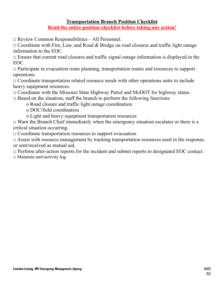### **Transportation Branch Position Checklist Read the entire position checklist before taking any action!**

□ Review Common Responsibilities – All Personnel.

 $\Box$  Coordinate with Fire, Law, and Road & Bridge on road closures and traffic light outage information to the EOC.

 $\Box$  Ensure that current road closures and traffic signal outage information is displayed in the EOC.

 $\Box$  Participate in evacuation route planning, transportation routes and resources to support operations.

 $\Box$  Coordinate transportation related resource needs with other operations units to include heavy equipment resources.

 $\Box$  Coordinate with the Missouri State Highway Patrol and MoDOT for highway status.

 $\Box$  Based on the situation, staff the branch to perform the following functions:

o Road closure and traffic light outage coordination

o DOC/field coordination

o Light and heavy equipment transportation resources

 $\Box$  Warn the Branch Chief immediately when the emergency situation escalates or there is a critical situation occurring.

 $\Box$  Coordinate transportation resources to support evacuation.

 $\Box$  Assist with resource management by tracking transportation resources used in the response, or sent/received as mutual aid.

 $\Box$  Perform after-action reports for the incident and submit reports to designated EOC contact.  $\square$  Maintain unit/activity log.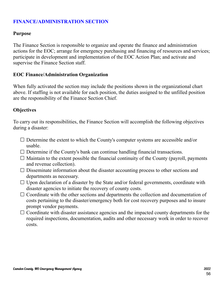### **FINANCE/ADMINISTRATION SECTION**

### **Purpose**

The Finance Section is responsible to organize and operate the finance and administration actions for the EOC; arrange for emergency purchasing and financing of resources and services; participate in development and implementation of the EOC Action Plan; and activate and supervise the Finance Section staff.

### **EOC Finance/Administration Organization**

When fully activated the section may include the positions shown in the organizational chart above. If staffing is not available for each position, the duties assigned to the unfilled position are the responsibility of the Finance Section Chief.

### **Objectives**

To carry out its responsibilities, the Finance Section will accomplish the following objectives during a disaster:

- $\square$  Determine the extent to which the County's computer systems are accessible and/or usable.
- $\Box$  Determine if the County's bank can continue handling financial transactions.
- $\Box$  Maintain to the extent possible the financial continuity of the County (payroll, payments and revenue collection).
- $\square$  Disseminate information about the disaster accounting process to other sections and departments as necessary.
- $\square$  Upon declaration of a disaster by the State and/or federal governments, coordinate with disaster agencies to initiate the recovery of county costs.
- $\Box$  Coordinate with the other sections and departments the collection and documentation of costs pertaining to the disaster/emergency both for cost recovery purposes and to insure prompt vendor payments.
- $\Box$  Coordinate with disaster assistance agencies and the impacted county departments for the required inspections, documentation, audits and other necessary work in order to recover costs.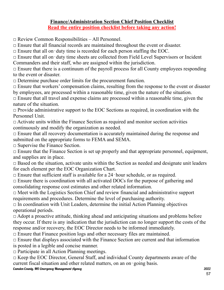### **Finance/Administration Section Chief Position Checklist Read the entire position checklist before taking any action!**

□ Review Common Responsibilities – All Personnel.

 $\Box$  Ensure that all financial records are maintained throughout the event or disaster.

 $\Box$  Ensure that all on-duty time is recorded for each person staffing the EOC.

□ Ensure that all on‐duty time sheets are collected from Field Level Supervisors or Incident Commanders and their staff, who are assigned within the jurisdiction.

 $\Box$  Ensure that there is a continuum of the payroll process for all County employees responding to the event or disaster.

 $\Box$  Determine purchase order limits for the procurement function.

 $\Box$  Ensure that workers' compensation claims, resulting from the response to the event or disaster by employees, are processed within a reasonable time, given the nature of the situation.

 $\Box$  Ensure that all travel and expense claims are processed within a reasonable time, given the nature of the situation.

 $\Box$  Provide administrative support to the EOC Sections as required, in coordination with the Personnel Unit.

 $\Box$  Activate units within the Finance Section as required and monitor section activities continuously and modify the organization as needed.

 $\Box$  Ensure that all recovery documentation is accurately maintained during the response and submitted on the appropriate forms to FEMA and SEMA.

□ Supervise the Finance Section.

 $\Box$  Ensure that the Finance Section is set up properly and that appropriate personnel, equipment, and supplies are in place.

 $\Box$  Based on the situation, activate units within the Section as needed and designate unit leaders for each element per the EOC Organization Chart.

 $\Box$  Ensure that sufficient staff is available for a 24-hour schedule, or as required.

 $\Box$  Ensure there is coordination with all activated DOCs for the purpose of gathering and consolidating response cost estimates and other related information.

 $\Box$  Meet with the Logistics Section Chief and review financial and administrative support requirements and procedures. Determine the level of purchasing authority.

 $\Box$  In coordination with Unit Leaders, determine the initial Action Planning objectives operational periods.

 $\Box$  Adopt a proactive attitude, thinking ahead and anticipating situations and problems before they occur. If there is any indication that the jurisdiction can no longer support the costs of the response and/or recovery, the EOC Director needs to be informed immediately.

 $\Box$  Ensure that Finance position logs and other necessary files are maintained.

 $\Box$  Ensure that displays associated with the Finance Section are current and that information is posted in a legible and concise manner.

 $\Box$  Participate in all Action Planning meetings.

 $\Box$  Keep the EOC Director, General Staff, and individual County departments aware of the current fiscal situation and other related matters, on an on‐going basis.

Camden County, MO Emergency Management Agency 2022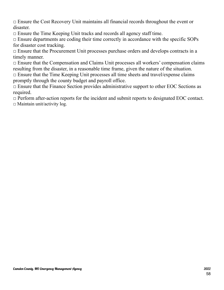$\Box$  Ensure the Cost Recovery Unit maintains all financial records throughout the event or disaster.

 $\Box$  Ensure the Time Keeping Unit tracks and records all agency staff time.

 $\Box$  Ensure departments are coding their time correctly in accordance with the specific SOPs for disaster cost tracking.

 $\Box$  Ensure that the Procurement Unit processes purchase orders and develops contracts in a timely manner.

 $\Box$  Ensure that the Compensation and Claims Unit processes all workers' compensation claims resulting from the disaster, in a reasonable time frame, given the nature of the situation.

 $\Box$  Ensure that the Time Keeping Unit processes all time sheets and travel/expense claims promptly through the county budget and payroll office.

 $\Box$  Ensure that the Finance Section provides administrative support to other EOC Sections as required.

 $\Box$  Perform after-action reports for the incident and submit reports to designated EOC contact.  $\square$  Maintain unit/activity log.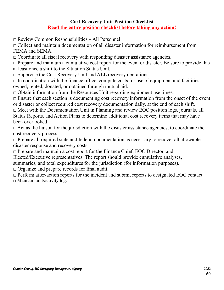### **Cost Recovery Unit Position Checklist Read the entire position checklist before taking any action!**

 $\Box$  Review Common Responsibilities – All Personnel.

 $\Box$  Collect and maintain documentation of all disaster information for reimbursement from FEMA and SEMA.

 $\Box$  Coordinate all fiscal recovery with responding disaster assistance agencies.

 $\Box$  Prepare and maintain a cumulative cost report for the event or disaster. Be sure to provide this at least once a shift to the Situation Status Unit.

 $\square$  Supervise the Cost Recovery Unit and ALL recovery operations.

 $\Box$  In coordination with the finance office, compute costs for use of equipment and facilities owned, rented, donated, or obtained through mutual aid.

 $\Box$  Obtain information from the Resources Unit regarding equipment use times.

 $\Box$  Ensure that each section is documenting cost recovery information from the onset of the event or disaster or collect required cost recovery documentation daily, at the end of each shift.

 $\Box$  Meet with the Documentation Unit in Planning and review EOC position logs, journals, all Status Reports, and Action Plans to determine additional cost recovery items that may have been overlooked.

 $\Box$  Act as the liaison for the jurisdiction with the disaster assistance agencies, to coordinate the cost recovery process.

 $\Box$  Prepare all required state and federal documentation as necessary to recover all allowable disaster response and recovery costs.

□ Prepare and maintain a cost report for the Finance Chief, EOC Director, and

Elected/Executive representatives. The report should provide cumulative analyses,

summaries, and total expenditures for the jurisdiction (for information purposes).

□ Organize and prepare records for final audit.

□ Perform after-action reports for the incident and submit reports to designated EOC contact.  $\square$  Maintain unit/activity log.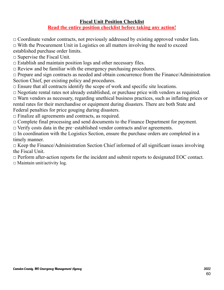### **Fiscal Unit Position Checklist Read the entire position checklist before taking any action!**

 $\Box$  Coordinate vendor contracts, not previously addressed by existing approved vendor lists.

 $\Box$  With the Procurement Unit in Logistics on all matters involving the need to exceed

established purchase order limits.

 $\square$  Supervise the Fiscal Unit.

 $\Box$  Establish and maintain position logs and other necessary files.

 $\Box$  Review and be familiar with the emergency purchasing procedures.

 $\Box$  Prepare and sign contracts as needed and obtain concurrence from the Finance/Administration Section Chief, per existing policy and procedures.

 $\Box$  Ensure that all contracts identify the scope of work and specific site locations.

 $\Box$  Negotiate rental rates not already established, or purchase price with vendors as required.

 $\Box$  Warn vendors as necessary, regarding unethical business practices, such as inflating prices or rental rates for their merchandise or equipment during disasters. There are both State and Federal penalties for price gouging during disasters.

 $\Box$  Finalize all agreements and contracts, as required.

 $\Box$  Complete final processing and send documents to the Finance Department for payment.

□ Verify costs data in the pre-established vendor contracts and/or agreements.

 $\Box$  In coordination with the Logistics Section, ensure the purchase orders are completed in a timely manner.

 $\Box$  Keep the Finance/Administration Section Chief informed of all significant issues involving the Fiscal Unit.

 $\Box$  Perform after-action reports for the incident and submit reports to designated EOC contact.  $\Box$  Maintain unit/activity log.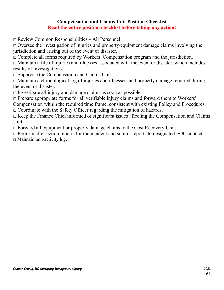### **Compensation and Claims Unit Position Checklist Read the entire position checklist before taking any action!**

 $\Box$  Review Common Responsibilities – All Personnel.

 $\Box$  Oversee the investigation of injuries and property/equipment damage claims involving the jurisdiction and arising out of the event or disaster.

 $\Box$  Complete all forms required by Workers' Compensation program and the jurisdiction.

 $\Box$  Maintain a file of injuries and illnesses associated with the event or disaster, which includes results of investigations.

□ Supervise the Compensation and Claims Unit.

 $\Box$  Maintain a chronological log of injuries and illnesses, and property damage reported during the event or disaster.

 $\Box$  Investigate all injury and damage claims as soon as possible.

 $\Box$  Prepare appropriate forms for all verifiable injury claims and forward them to Workers'

Compensation within the required time frame, consistent with existing Policy and Procedures.

 $\Box$  Coordinate with the Safety Officer regarding the mitigation of hazards.

 $\Box$  Keep the Finance Chief informed of significant issues affecting the Compensation and Claims Unit.

 $\Box$  Forward all equipment or property damage claims to the Cost Recovery Unit.

 $\Box$  Perform after-action reports for the incident and submit reports to designated EOC contact.

 $\square$  Maintain unit/activity log.